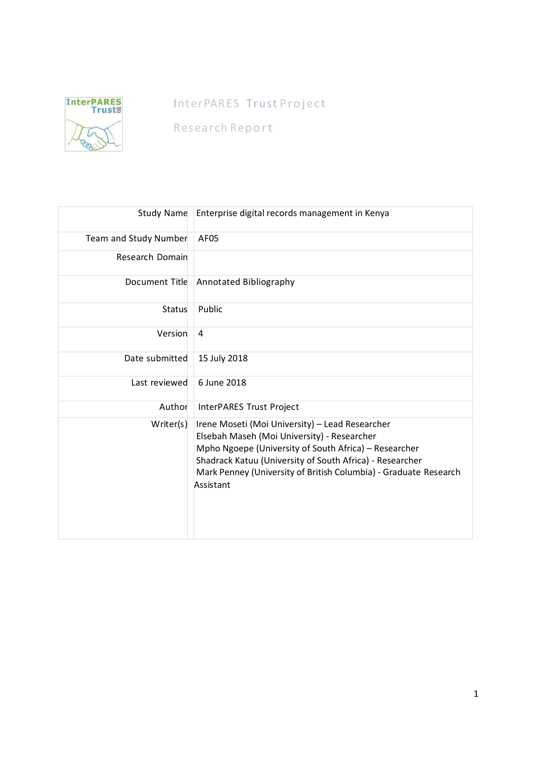

# InterPARES Trust Project

Research Report

| Study Name            | Enterprise digital records management in Kenya                                                                                                                                                                                                                                                       |  |
|-----------------------|------------------------------------------------------------------------------------------------------------------------------------------------------------------------------------------------------------------------------------------------------------------------------------------------------|--|
| Team and Study Number | AF <sub>05</sub>                                                                                                                                                                                                                                                                                     |  |
| Research Domain       |                                                                                                                                                                                                                                                                                                      |  |
| Document Title        | Annotated Bibliography                                                                                                                                                                                                                                                                               |  |
| Status                | Public                                                                                                                                                                                                                                                                                               |  |
| Version               | 4                                                                                                                                                                                                                                                                                                    |  |
| Date submitted        | 15 July 2018                                                                                                                                                                                                                                                                                         |  |
| Last reviewed         | 6 June 2018                                                                                                                                                                                                                                                                                          |  |
| Author                | InterPARES Trust Project                                                                                                                                                                                                                                                                             |  |
| Writer(s)             | Irene Moseti (Moi University) - Lead Researcher<br>Elsebah Maseh (Moi University) - Researcher<br>Mpho Ngoepe (University of South Africa) - Researcher<br>Shadrack Katuu (University of South Africa) - Researcher<br>Mark Penney (University of British Columbia) - Graduate Research<br>Assistant |  |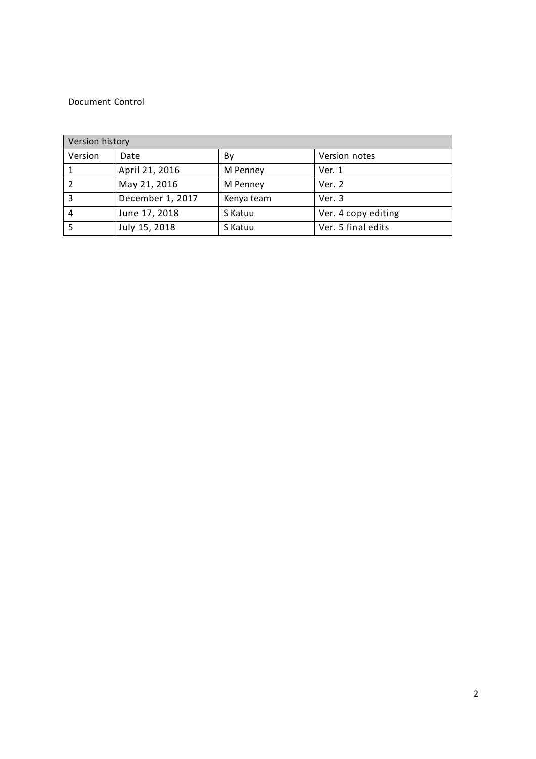### Document Control

| Version history |                  |            |                     |  |
|-----------------|------------------|------------|---------------------|--|
| Version         | Date             | Bv         | Version notes       |  |
|                 | April 21, 2016   | M Penney   | Ver. 1              |  |
|                 | May 21, 2016     | M Penney   | Ver. 2              |  |
| 3               | December 1, 2017 | Kenya team | Ver. 3              |  |
| 4               | June 17, 2018    | S Katuu    | Ver. 4 copy editing |  |
|                 | July 15, 2018    | S Katuu    | Ver. 5 final edits  |  |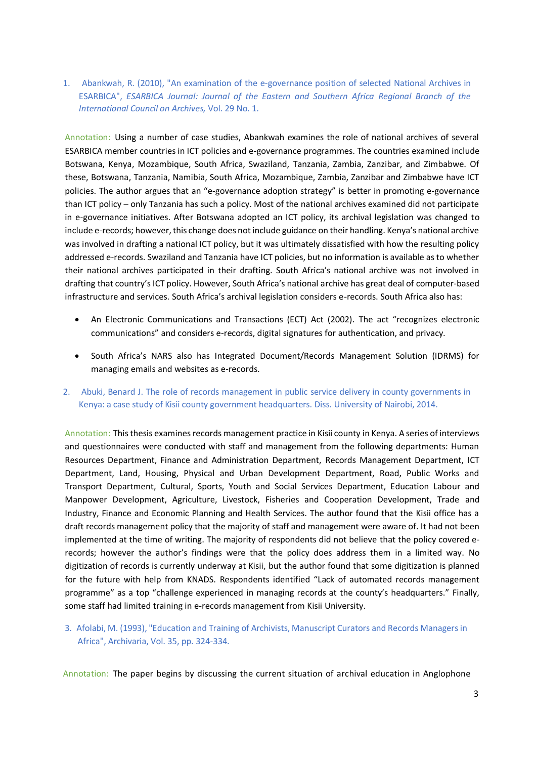1. Abankwah, R. (2010), "An examination of the e-governance position of selected National Archives in ESARBICA", *ESARBICA Journal: Journal of the Eastern and Southern Africa Regional Branch of the International Council on Archives,* Vol. 29 No. 1.

Annotation: Using a number of case studies, Abankwah examines the role of national archives of several ESARBICA member countries in ICT policies and e-governance programmes. The countries examined include Botswana, Kenya, Mozambique, South Africa, Swaziland, Tanzania, Zambia, Zanzibar, and Zimbabwe. Of these, Botswana, Tanzania, Namibia, South Africa, Mozambique, Zambia, Zanzibar and Zimbabwe have ICT policies. The author argues that an "e-governance adoption strategy" is better in promoting e-governance than ICT policy – only Tanzania has such a policy. Most of the national archives examined did not participate in e-governance initiatives. After Botswana adopted an ICT policy, its archival legislation was changed to include e-records; however, this change does not include guidance on their handling. Kenya's national archive was involved in drafting a national ICT policy, but it was ultimately dissatisfied with how the resulting policy addressed e-records. Swaziland and Tanzania have ICT policies, but no information is available as to whether their national archives participated in their drafting. South Africa's national archive was not involved in drafting that country's ICT policy. However, South Africa's national archive has great deal of computer-based infrastructure and services. South Africa's archival legislation considers e-records. South Africa also has:

- An Electronic Communications and Transactions (ECT) Act (2002). The act "recognizes electronic communications" and considers e-records, digital signatures for authentication, and privacy.
- South Africa's NARS also has Integrated Document/Records Management Solution (IDRMS) for managing emails and websites as e-records.
- 2. Abuki, Benard J. The role of records management in public service delivery in county governments in Kenya: a case study of Kisii county government headquarters. Diss. University of Nairobi, 2014.

Annotation: This thesis examines records management practice in Kisii county in Kenya. A series of interviews and questionnaires were conducted with staff and management from the following departments: Human Resources Department, Finance and Administration Department, Records Management Department, ICT Department, Land, Housing, Physical and Urban Development Department, Road, Public Works and Transport Department, Cultural, Sports, Youth and Social Services Department, Education Labour and Manpower Development, Agriculture, Livestock, Fisheries and Cooperation Development, Trade and Industry, Finance and Economic Planning and Health Services. The author found that the Kisii office has a draft records management policy that the majority of staff and management were aware of. It had not been implemented at the time of writing. The majority of respondents did not believe that the policy covered erecords; however the author's findings were that the policy does address them in a limited way. No digitization of records is currently underway at Kisii, but the author found that some digitization is planned for the future with help from KNADS. Respondents identified "Lack of automated records management programme" as a top "challenge experienced in managing records at the county's headquarters." Finally, some staff had limited training in e-records management from Kisii University.

3. Afolabi, M. (1993), "Education and Training of Archivists, Manuscript Curators and Records Managers in Africa", Archivaria, Vol. 35, pp. 324-334.

Annotation: The paper begins by discussing the current situation of archival education in Anglophone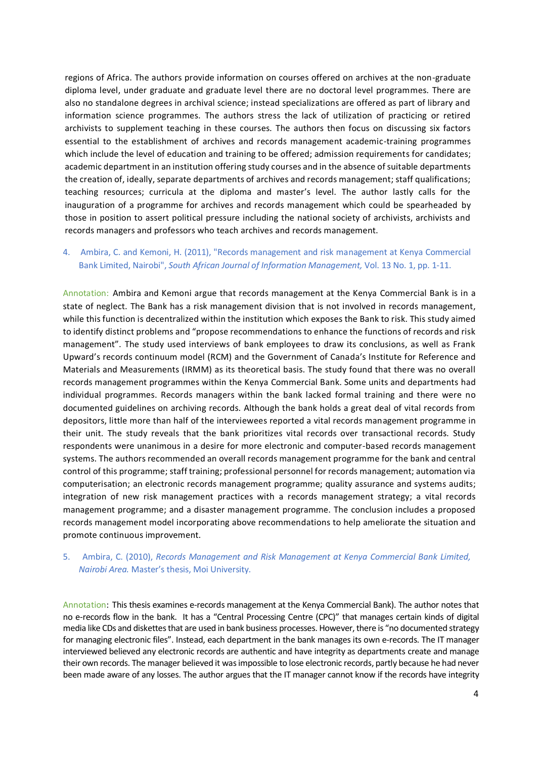regions of Africa. The authors provide information on courses offered on archives at the non-graduate diploma level, under graduate and graduate level there are no doctoral level programmes. There are also no standalone degrees in archival science; instead specializations are offered as part of library and information science programmes. The authors stress the lack of utilization of practicing or retired archivists to supplement teaching in these courses. The authors then focus on discussing six factors essential to the establishment of archives and records management academic-training programmes which include the level of education and training to be offered; admission requirements for candidates; academic department in an institution offering study courses and in the absence of suitable departments the creation of, ideally, separate departments of archives and records management; staff qualifications; teaching resources; curricula at the diploma and master's level. The author lastly calls for the inauguration of a programme for archives and records management which could be spearheaded by those in position to assert political pressure including the national society of archivists, archivists and records managers and professors who teach archives and records management.

# 4. Ambira, C. and Kemoni, H. (2011), "Records management and risk management at Kenya Commercial Bank Limited, Nairobi", *South African Journal of Information Management,* Vol. 13 No. 1, pp. 1-11.

Annotation: Ambira and Kemoni argue that records management at the Kenya Commercial Bank is in a state of neglect. The Bank has a risk management division that is not involved in records management, while this function is decentralized within the institution which exposes the Bank to risk. This study aimed to identify distinct problems and "propose recommendations to enhance the functions of records and risk management". The study used interviews of bank employees to draw its conclusions, as well as Frank Upward's records continuum model (RCM) and the Government of Canada's Institute for Reference and Materials and Measurements (IRMM) as its theoretical basis. The study found that there was no overall records management programmes within the Kenya Commercial Bank. Some units and departments had individual programmes. Records managers within the bank lacked formal training and there were no documented guidelines on archiving records. Although the bank holds a great deal of vital records from depositors, little more than half of the interviewees reported a vital records management programme in their unit. The study reveals that the bank prioritizes vital records over transactional records. Study respondents were unanimous in a desire for more electronic and computer-based records management systems. The authors recommended an overall records management programme for the bank and central control of this programme; staff training; professional personnel for records management; automation via computerisation; an electronic records management programme; quality assurance and systems audits; integration of new risk management practices with a records management strategy; a vital records management programme; and a disaster management programme. The conclusion includes a proposed records management model incorporating above recommendations to help ameliorate the situation and promote continuous improvement.

### 5. Ambira, C. (2010), *Records Management and Risk Management at Kenya Commercial Bank Limited, Nairobi Area.* Master's thesis, Moi University.

Annotation: This thesis examines e-records management at the Kenya Commercial Bank). The author notes that no e-records flow in the bank. It has a "Central Processing Centre (CPC)" that manages certain kinds of digital media like CDs and diskettes that are used in bank business processes. However, there is "no documented strategy for managing electronic files". Instead, each department in the bank manages its own e-records. The IT manager interviewed believed any electronic records are authentic and have integrity as departments create and manage their own records. The manager believed it was impossible to lose electronic records, partly because he had never been made aware of any losses. The author argues that the IT manager cannot know if the records have integrity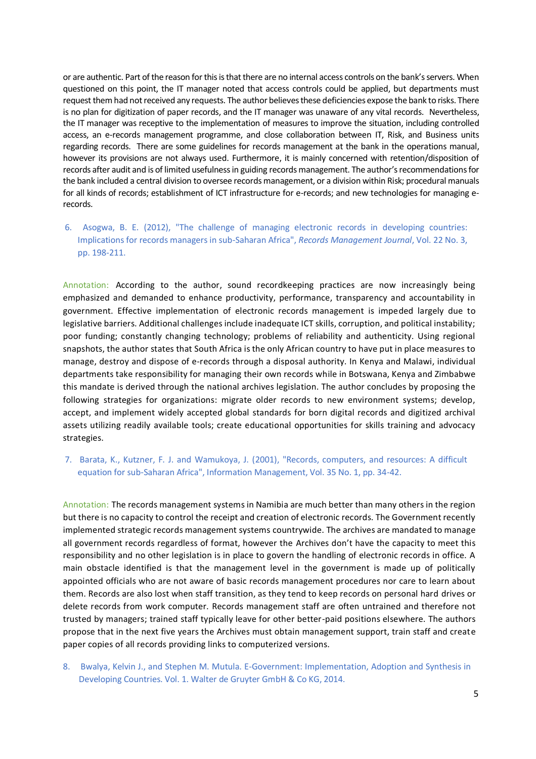or are authentic. Part of the reason for this is that there are no internal access controls on the bank's servers. When questioned on this point, the IT manager noted that access controls could be applied, but departments must request them had not received any requests. The author believes these deficiencies expose the bank to risks. There is no plan for digitization of paper records, and the IT manager was unaware of any vital records. Nevertheless, the IT manager was receptive to the implementation of measures to improve the situation, including controlled access, an e-records management programme, and close collaboration between IT, Risk, and Business units regarding records. There are some guidelines for records management at the bank in the operations manual, however its provisions are not always used. Furthermore, it is mainly concerned with retention/disposition of records after audit and is of limited usefulness in guiding recordsmanagement. The author's recommendations for the bank included a central division to oversee records management, or a division within Risk; procedural manuals for all kinds of records; establishment of ICT infrastructure for e-records; and new technologies for managing erecords.

6. Asogwa, B. E. (2012), "The challenge of managing electronic records in developing countries: Implications for records managers in sub-Saharan Africa", *Records Management Journal*, Vol. 22 No. 3, pp. 198-211.

Annotation: According to the author, sound recordkeeping practices are now increasingly being emphasized and demanded to enhance productivity, performance, transparency and accountability in government. Effective implementation of electronic records management is impeded largely due to legislative barriers. Additional challenges include inadequate ICT skills, corruption, and political instability; poor funding; constantly changing technology; problems of reliability and authenticity. Using regional snapshots, the author states that South Africa is the only African country to have put in place measures to manage, destroy and dispose of e-records through a disposal authority. In Kenya and Malawi, individual departments take responsibility for managing their own records while in Botswana, Kenya and Zimbabwe this mandate is derived through the national archives legislation. The author concludes by proposing the following strategies for organizations: migrate older records to new environment systems; develop, accept, and implement widely accepted global standards for born digital records and digitized archival assets utilizing readily available tools; create educational opportunities for skills training and advocacy strategies.

7. Barata, K., Kutzner, F. J. and Wamukoya, J. (2001), "Records, computers, and resources: A difficult equation for sub-Saharan Africa", Information Management, Vol. 35 No. 1, pp. 34-42.

Annotation: The records management systems in Namibia are much better than many others in the region but there is no capacity to control the receipt and creation of electronic records. The Government recently implemented strategic records management systems countrywide. The archives are mandated to manage all government records regardless of format, however the Archives don't have the capacity to meet this responsibility and no other legislation is in place to govern the handling of electronic records in office. A main obstacle identified is that the management level in the government is made up of politically appointed officials who are not aware of basic records management procedures nor care to learn about them. Records are also lost when staff transition, as they tend to keep records on personal hard drives or delete records from work computer. Records management staff are often untrained and therefore not trusted by managers; trained staff typically leave for other better-paid positions elsewhere. The authors propose that in the next five years the Archives must obtain management support, train staff and create paper copies of all records providing links to computerized versions.

8. Bwalya, Kelvin J., and Stephen M. Mutula. E-Government: Implementation, Adoption and Synthesis in Developing Countries. Vol. 1. Walter de Gruyter GmbH & Co KG, 2014.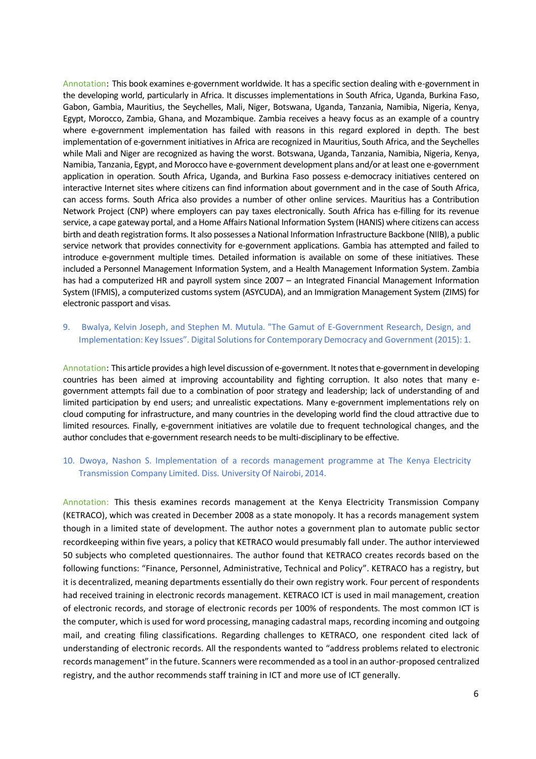Annotation: This book examines e-government worldwide. It has a specific section dealing with e-government in the developing world, particularly in Africa. It discusses implementations in South Africa, Uganda, Burkina Faso, Gabon, Gambia, Mauritius, the Seychelles, Mali, Niger, Botswana, Uganda, Tanzania, Namibia, Nigeria, Kenya, Egypt, Morocco, Zambia, Ghana, and Mozambique. Zambia receives a heavy focus as an example of a country where e-government implementation has failed with reasons in this regard explored in depth. The best implementation of e-government initiatives in Africa are recognized in Mauritius, South Africa, and the Seychelles while Mali and Niger are recognized as having the worst. Botswana, Uganda, Tanzania, Namibia, Nigeria, Kenya, Namibia, Tanzania, Egypt, and Morocco have e-government development plans and/or at least one e-government application in operation. South Africa, Uganda, and Burkina Faso possess e-democracy initiatives centered on interactive Internet sites where citizens can find information about government and in the case of South Africa, can access forms. South Africa also provides a number of other online services. Mauritius has a Contribution Network Project (CNP) where employers can pay taxes electronically. South Africa has e-filling for its revenue service, a cape gateway portal, and a Home Affairs National Information System (HANIS) where citizens can access birth and death registration forms. It also possesses a National Information Infrastructure Backbone (NIIB), a public service network that provides connectivity for e-government applications. Gambia has attempted and failed to introduce e-government multiple times. Detailed information is available on some of these initiatives. These included a Personnel Management Information System, and a Health Management Information System. Zambia has had a computerized HR and payroll system since 2007 – an Integrated Financial Management Information System (IFMIS), a computerized customs system (ASYCUDA), and an Immigration Management System (ZIMS) for electronic passport and visas.

# 9. Bwalya, Kelvin Joseph, and Stephen M. Mutula. "The Gamut of E-Government Research, Design, and Implementation: Key Issues". Digital Solutions for Contemporary Democracy and Government (2015): 1.

Annotation: This article provides a high level discussion of e-government. It notes that e-government in developing countries has been aimed at improving accountability and fighting corruption. It also notes that many egovernment attempts fail due to a combination of poor strategy and leadership; lack of understanding of and limited participation by end users; and unrealistic expectations. Many e-government implementations rely on cloud computing for infrastructure, and many countries in the developing world find the cloud attractive due to limited resources. Finally, e-government initiatives are volatile due to frequent technological changes, and the author concludes that e-government research needs to be multi-disciplinary to be effective.

### 10. Dwoya, Nashon S. Implementation of a records management programme at The Kenya Electricity Transmission Company Limited. Diss. University Of Nairobi, 2014.

Annotation: This thesis examines records management at the Kenya Electricity Transmission Company (KETRACO), which was created in December 2008 as a state monopoly. It has a records management system though in a limited state of development. The author notes a government plan to automate public sector recordkeeping within five years, a policy that KETRACO would presumably fall under. The author interviewed 50 subjects who completed questionnaires. The author found that KETRACO creates records based on the following functions: "Finance, Personnel, Administrative, Technical and Policy". KETRACO has a registry, but it is decentralized, meaning departments essentially do their own registry work. Four percent of respondents had received training in electronic records management. KETRACO ICT is used in mail management, creation of electronic records, and storage of electronic records per 100% of respondents. The most common ICT is the computer, which is used for word processing, managing cadastral maps, recording incoming and outgoing mail, and creating filing classifications. Regarding challenges to KETRACO, one respondent cited lack of understanding of electronic records. All the respondents wanted to "address problems related to electronic records management" in the future. Scanners were recommended as a tool in an author-proposed centralized registry, and the author recommends staff training in ICT and more use of ICT generally.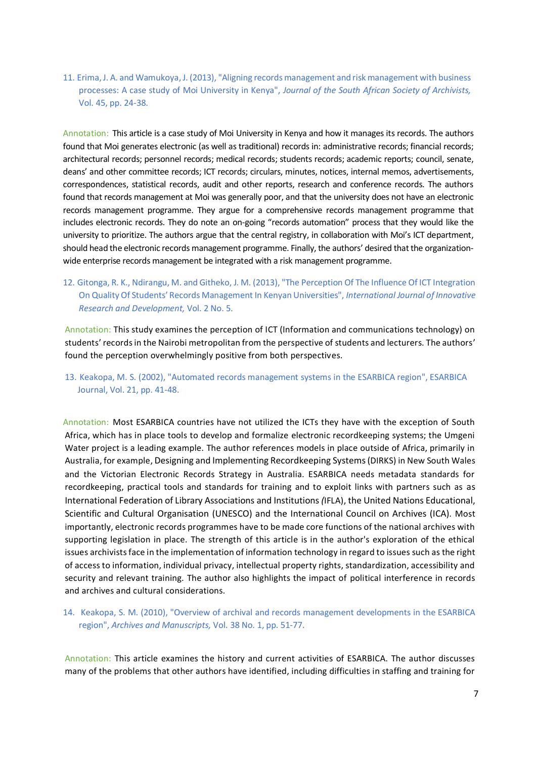11. Erima, J. A. and Wamukoya, J. (2013), "Aligning records management and risk management with business processes: A case study of Moi University in Kenya", *Journal of the South African Society of Archivists,* Vol. 45, pp. 24-38.

Annotation: This article is a case study of Moi University in Kenya and how it manages its records. The authors found that Moi generates electronic (as well as traditional) records in: administrative records; financial records; architectural records; personnel records; medical records; students records; academic reports; council, senate, deans' and other committee records; ICT records; circulars, minutes, notices, internal memos, advertisements, correspondences, statistical records, audit and other reports, research and conference records. The authors found that records management at Moi was generally poor, and that the university does not have an electronic records management programme. They argue for a comprehensive records management programme that includes electronic records. They do note an on-going "records automation" process that they would like the university to prioritize. The authors argue that the central registry, in collaboration with Moi's ICT department, should head the electronic records management programme. Finally, the authors' desired that the organizationwide enterprise records management be integrated with a risk management programme.

12. Gitonga, R. K., Ndirangu, M. and Githeko, J. M. (2013), "The Perception Of The Influence Of ICT Integration On Quality Of Students' Records Management In Kenyan Universities", *International Journal of Innovative Research and Development,* Vol. 2 No. 5.

Annotation: This study examines the perception of ICT (Information and communications technology) on students' records in the Nairobi metropolitan from the perspective of students and lecturers. The authors' found the perception overwhelmingly positive from both perspectives.

13. Keakopa, M. S. (2002), "Automated records management systems in the ESARBICA region", ESARBICA Journal, Vol. 21, pp. 41-48.

Annotation: Most ESARBICA countries have not utilized the ICTs they have with the exception of South Africa, which has in place tools to develop and formalize electronic recordkeeping systems; the Umgeni Water project is a leading example. The author references models in place outside of Africa, primarily in Australia, for example, Designing and Implementing Recordkeeping Systems (DIRKS) in New South Wales and the Victorian Electronic Records Strategy in Australia. ESARBICA needs metadata standards for recordkeeping, practical tools and standards for training and to exploit links with partners such as as International Federation of Library Associations and Institutions *(*IFLA), the United Nations Educational, Scientific and Cultural Organisation (UNESCO) and the International Council on Archives (ICA). Most importantly, electronic records programmes have to be made core functions of the national archives with supporting legislation in place. The strength of this article is in the author's exploration of the ethical issues archivists face in the implementation of information technology in regard to issues such as the right of access to information, individual privacy, intellectual property rights, standardization, accessibility and security and relevant training. The author also highlights the impact of political interference in records and archives and cultural considerations.

14. Keakopa, S. M. (2010), "Overview of archival and records management developments in the ESARBICA region", *Archives and Manuscripts,* Vol. 38 No. 1, pp. 51-77.

Annotation: This article examines the history and current activities of ESARBICA. The author discusses many of the problems that other authors have identified, including difficulties in staffing and training for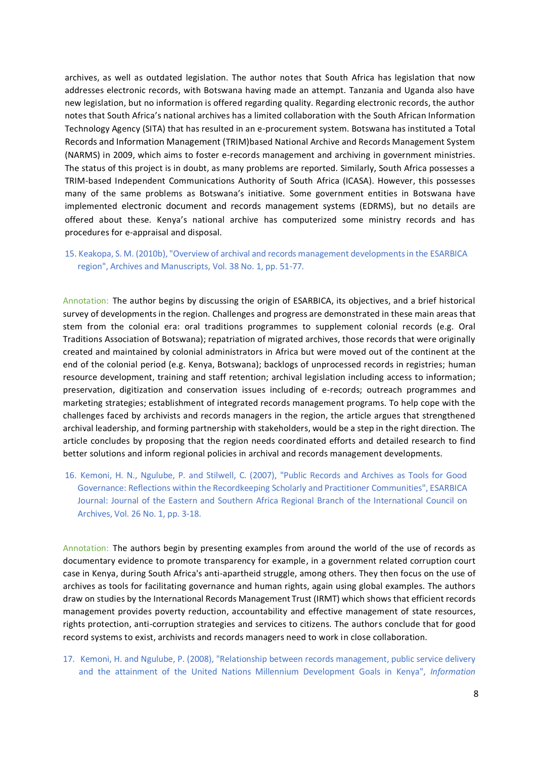archives, as well as outdated legislation. The author notes that South Africa has legislation that now addresses electronic records, with Botswana having made an attempt. Tanzania and Uganda also have new legislation, but no information is offered regarding quality. Regarding electronic records, the author notes that South Africa's national archives has a limited collaboration with the South African Information Technology Agency (SITA) that has resulted in an e-procurement system. Botswana has instituted a Total Records and Information Management (TRIM)based National Archive and Records Management System (NARMS) in 2009, which aims to foster e-records management and archiving in government ministries. The status of this project is in doubt, as many problems are reported. Similarly, South Africa possesses a TRIM-based Independent Communications Authority of South Africa (ICASA). However, this possesses many of the same problems as Botswana's initiative. Some government entities in Botswana have implemented electronic document and records management systems (EDRMS), but no details are offered about these. Kenya's national archive has computerized some ministry records and has procedures for e-appraisal and disposal.

# 15. Keakopa, S. M. (2010b), "Overview of archival and records management developments in the ESARBICA region", Archives and Manuscripts, Vol. 38 No. 1, pp. 51-77.

Annotation: The author begins by discussing the origin of ESARBICA, its objectives, and a brief historical survey of developments in the region. Challenges and progress are demonstrated in these main areas that stem from the colonial era: oral traditions programmes to supplement colonial records (e.g. Oral Traditions Association of Botswana); repatriation of migrated archives, those records that were originally created and maintained by colonial administrators in Africa but were moved out of the continent at the end of the colonial period (e.g. Kenya, Botswana); backlogs of unprocessed records in registries; human resource development, training and staff retention; archival legislation including access to information; preservation, digitization and conservation issues including of e-records; outreach programmes and marketing strategies; establishment of integrated records management programs. To help cope with the challenges faced by archivists and records managers in the region, the article argues that strengthened archival leadership, and forming partnership with stakeholders, would be a step in the right direction. The article concludes by proposing that the region needs coordinated efforts and detailed research to find better solutions and inform regional policies in archival and records management developments.

16. Kemoni, H. N., Ngulube, P. and Stilwell, C. (2007), "Public Records and Archives as Tools for Good Governance: Reflections within the Recordkeeping Scholarly and Practitioner Communities", ESARBICA Journal: Journal of the Eastern and Southern Africa Regional Branch of the International Council on Archives, Vol. 26 No. 1, pp. 3-18.

Annotation: The authors begin by presenting examples from around the world of the use of records as documentary evidence to promote transparency for example, in a government related corruption court case in Kenya, during South Africa's anti-apartheid struggle, among others. They then focus on the use of archives as tools for facilitating governance and human rights, again using global examples. The authors draw on studies by the International Records Management Trust (IRMT) which shows that efficient records management provides poverty reduction, accountability and effective management of state resources, rights protection, anti-corruption strategies and services to citizens. The authors conclude that for good record systems to exist, archivists and records managers need to work in close collaboration.

17. Kemoni, H. and Ngulube, P. (2008), "Relationship between records management, public service delivery and the attainment of the United Nations Millennium Development Goals in Kenya", *Information*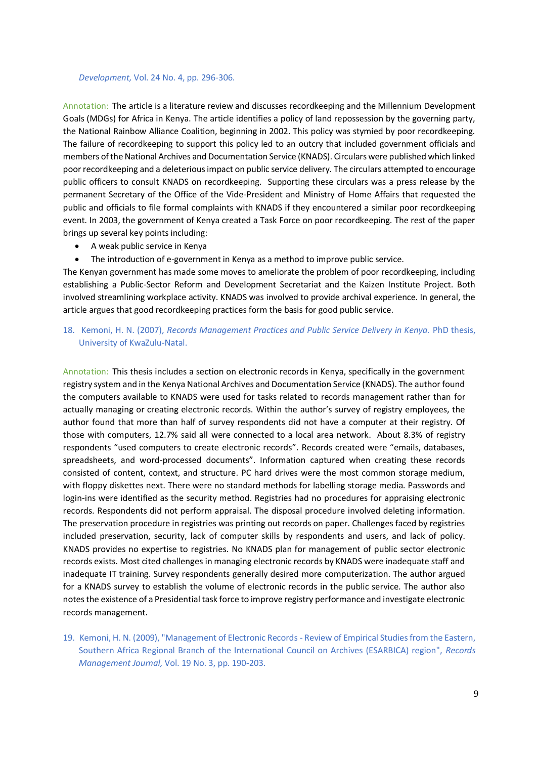#### *Development,* Vol. 24 No. 4, pp. 296-306.

Annotation: The article is a literature review and discusses recordkeeping and the Millennium Development Goals (MDGs) for Africa in Kenya. The article identifies a policy of land repossession by the governing party, the National Rainbow Alliance Coalition, beginning in 2002. This policy was stymied by poor recordkeeping. The failure of recordkeeping to support this policy led to an outcry that included government officials and members of the National Archives and Documentation Service (KNADS). Circulars were published which linked poor recordkeeping and a deleteriousimpact on public service delivery. The circulars attempted to encourage public officers to consult KNADS on recordkeeping. Supporting these circulars was a press release by the permanent Secretary of the Office of the Vide-President and Ministry of Home Affairs that requested the public and officials to file formal complaints with KNADS if they encountered a similar poor recordkeeping event. In 2003, the government of Kenya created a Task Force on poor recordkeeping. The rest of the paper brings up several key points including:

- A weak public service in Kenya
- The introduction of e-government in Kenya as a method to improve public service.

The Kenyan government has made some moves to ameliorate the problem of poor recordkeeping, including establishing a Public-Sector Reform and Development Secretariat and the Kaizen Institute Project. Both involved streamlining workplace activity. KNADS was involved to provide archival experience. In general, the article argues that good recordkeeping practices form the basis for good public service.

# 18. Kemoni, H. N. (2007), *Records Management Practices and Public Service Delivery in Kenya.* PhD thesis, University of KwaZulu-Natal.

Annotation: This thesis includes a section on electronic records in Kenya, specifically in the government registry system and in the Kenya National Archives and Documentation Service (KNADS). The author found the computers available to KNADS were used for tasks related to records management rather than for actually managing or creating electronic records. Within the author's survey of registry employees, the author found that more than half of survey respondents did not have a computer at their registry. Of those with computers, 12.7% said all were connected to a local area network. About 8.3% of registry respondents "used computers to create electronic records". Records created were "emails, databases, spreadsheets, and word-processed documents". Information captured when creating these records consisted of content, context, and structure. PC hard drives were the most common storage medium, with floppy diskettes next. There were no standard methods for labelling storage media. Passwords and login-ins were identified as the security method. Registries had no procedures for appraising electronic records. Respondents did not perform appraisal. The disposal procedure involved deleting information. The preservation procedure in registries was printing out records on paper. Challenges faced by registries included preservation, security, lack of computer skills by respondents and users, and lack of policy. KNADS provides no expertise to registries. No KNADS plan for management of public sector electronic records exists. Most cited challenges in managing electronic records by KNADS were inadequate staff and inadequate IT training. Survey respondents generally desired more computerization. The author argued for a KNADS survey to establish the volume of electronic records in the public service. The author also notes the existence of a Presidential task force to improve registry performance and investigate electronic records management.

19. Kemoni, H. N. (2009), "Management of Electronic Records - Review of Empirical Studies from the Eastern, Southern Africa Regional Branch of the International Council on Archives (ESARBICA) region", *Records Management Journal,* Vol. 19 No. 3, pp. 190-203.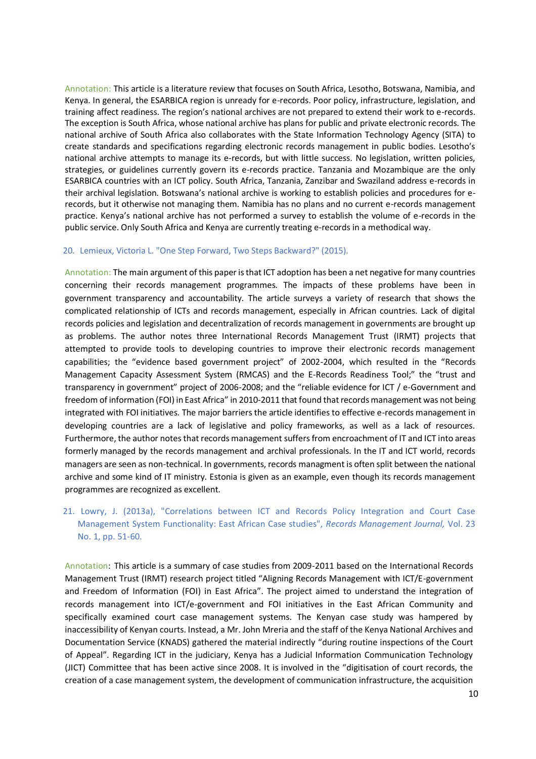Annotation: This article is a literature review that focuses on South Africa, Lesotho, Botswana, Namibia, and Kenya. In general, the ESARBICA region is unready for e-records. Poor policy, infrastructure, legislation, and training affect readiness. The region's national archives are not prepared to extend their work to e-records. The exception is South Africa, whose national archive has plans for public and private electronic records. The national archive of South Africa also collaborates with the State Information Technology Agency (SITA) to create standards and specifications regarding electronic records management in public bodies. Lesotho's national archive attempts to manage its e-records, but with little success. No legislation, written policies, strategies, or guidelines currently govern its e-records practice. Tanzania and Mozambique are the only ESARBICA countries with an ICT policy. South Africa, Tanzania, Zanzibar and Swaziland address e-records in their archival legislation. Botswana's national archive is working to establish policies and procedures for erecords, but it otherwise not managing them. Namibia has no plans and no current e-records management practice. Kenya's national archive has not performed a survey to establish the volume of e-records in the public service. Only South Africa and Kenya are currently treating e-records in a methodical way.

#### 20. Lemieux, Victoria L. "One Step Forward, Two Steps Backward?" (2015).

Annotation: The main argument of this paper is that ICT adoption has been a net negative for many countries concerning their records management programmes. The impacts of these problems have been in government transparency and accountability. The article surveys a variety of research that shows the complicated relationship of ICTs and records management, especially in African countries. Lack of digital records policies and legislation and decentralization of records management in governments are brought up as problems. The author notes three International Records Management Trust (IRMT) projects that attempted to provide tools to developing countries to improve their electronic records management capabilities; the "evidence based government project" of 2002-2004, which resulted in the "Records Management Capacity Assessment System (RMCAS) and the E-Records Readiness Tool;" the "trust and transparency in government" project of 2006-2008; and the "reliable evidence for ICT / e-Government and freedom of information (FOI) in East Africa" in 2010-2011 that found that records management was not being integrated with FOI initiatives. The major barriers the article identifies to effective e-records management in developing countries are a lack of legislative and policy frameworks, as well as a lack of resources. Furthermore, the author notes that records management suffers from encroachment of IT and ICT into areas formerly managed by the records management and archival professionals. In the IT and ICT world, records managers are seen as non-technical. In governments, records managment is often split between the national archive and some kind of IT ministry. Estonia is given as an example, even though its records management programmes are recognized as excellent.

# 21. Lowry, J. (2013a), "Correlations between ICT and Records Policy Integration and Court Case Management System Functionality: East African Case studies", *Records Management Journal,* Vol. 23 No. 1, pp. 51-60.

Annotation: This article is a summary of case studies from 2009-2011 based on the International Records Management Trust (IRMT) research project titled "Aligning Records Management with ICT/E-government and Freedom of Information (FOI) in East Africa". The project aimed to understand the integration of records management into ICT/e-government and FOI initiatives in the East African Community and specifically examined court case management systems. The Kenyan case study was hampered by inaccessibility of Kenyan courts. Instead, a Mr. John Mreria and the staff of the Kenya National Archives and Documentation Service (KNADS) gathered the material indirectly "during routine inspections of the Court of Appeal". Regarding ICT in the judiciary, Kenya has a Judicial Information Communication Technology (JICT) Committee that has been active since 2008. It is involved in the "digitisation of court records, the creation of a case management system, the development of communication infrastructure, the acquisition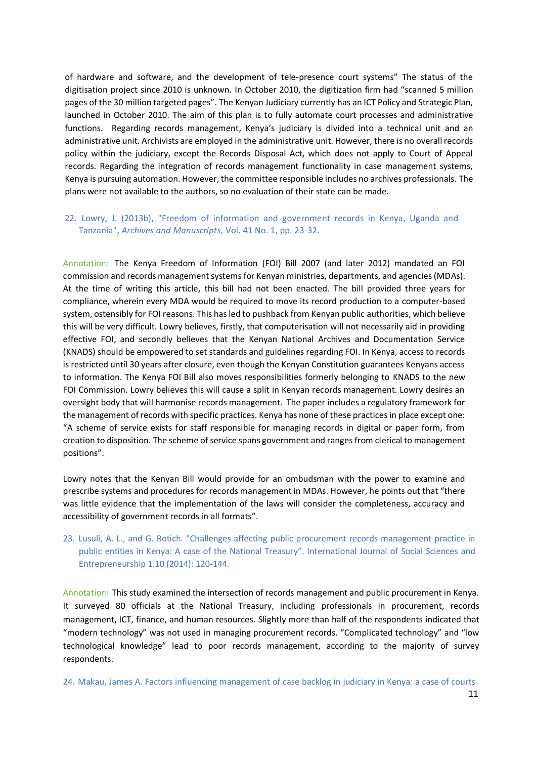of hardware and software, and the development of tele-presence court systems" The status of the digitisation project since 2010 is unknown. In October 2010, the digitization firm had "scanned 5 million pages of the 30 million targeted pages". The Kenyan Judiciary currently has an ICT Policy and Strategic Plan, launched in October 2010. The aim of this plan is to fully automate court processes and administrative functions. Regarding records management, Kenya's judiciary is divided into a technical unit and an administrative unit. Archivists are employed in the administrative unit. However, there is no overall records policy within the judiciary, except the Records Disposal Act, which does not apply to Court of Appeal records. Regarding the integration of records management functionality in case management systems, Kenya is pursuing automation. However, the committee responsible includes no archives professionals. The plans were not available to the authors, so no evaluation of their state can be made.

# 22. Lowry, J. (2013b), "Freedom of information and government records in Kenya, Uganda and Tanzania", *Archives and Manuscripts,* Vol. 41 No. 1, pp. 23-32.

Annotation: The Kenya Freedom of Information (FOI) Bill 2007 (and later 2012) mandated an FOI commission and records management systems for Kenyan ministries, departments, and agencies (MDAs). At the time of writing this article, this bill had not been enacted. The bill provided three years for compliance, wherein every MDA would be required to move its record production to a computer-based system, ostensibly for FOI reasons. This has led to pushback from Kenyan public authorities, which believe this will be very difficult. Lowry believes, firstly, that computerisation will not necessarily aid in providing effective FOI, and secondly believes that the Kenyan National Archives and Documentation Service (KNADS) should be empowered to set standards and guidelines regarding FOI. In Kenya, access to records is restricted until 30 years after closure, even though the Kenyan Constitution guarantees Kenyans access to information. The Kenya FOI Bill also moves responsibilities formerly belonging to KNADS to the new FOI Commission. Lowry believes this will cause a split in Kenyan records management. Lowry desires an oversight body that will harmonise records management. The paper includes a regulatory framework for the management of records with specific practices. Kenya has none of these practices in place except one: "A scheme of service exists for staff responsible for managing records in digital or paper form, from creation to disposition. The scheme of service spans government and ranges from clerical to management positions".

Lowry notes that the Kenyan Bill would provide for an ombudsman with the power to examine and prescribe systems and procedures for records management in MDAs. However, he points out that "there was little evidence that the implementation of the laws will consider the completeness, accuracy and accessibility of government records in all formats".

23. Lusuli, A. L., and G. Rotich. "Challenges affecting public procurement records management practice in public entities in Kenya: A case of the National Treasury". International Journal of Social Sciences and Entrepreneurship 1.10 (2014): 120-144.

Annotation: This study examined the intersection of records management and public procurement in Kenya. It surveyed 80 officials at the National Treasury, including professionals in procurement, records management, ICT, finance, and human resources. Slightly more than half of the respondents indicated that "modern technology" was not used in managing procurement records. "Complicated technology" and "low technological knowledge" lead to poor records management, according to the majority of survey respondents.

24. Makau, James A. Factors influencing management of case backlog in judiciary in Kenya: a case of courts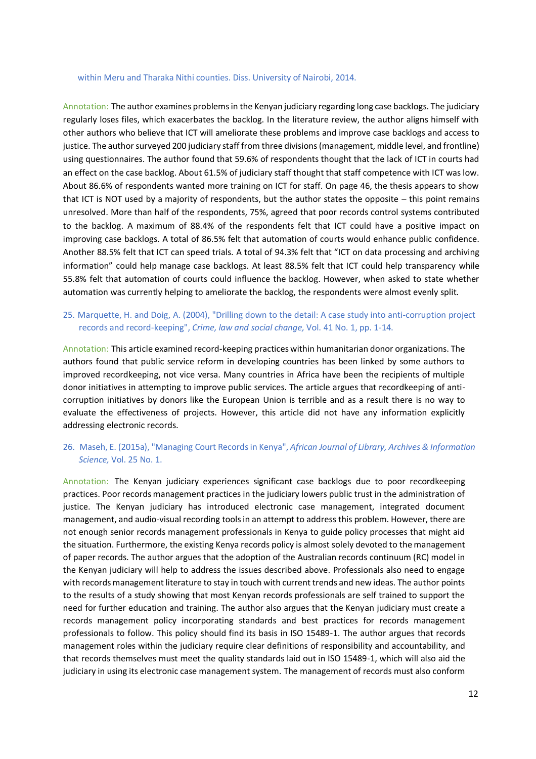#### within Meru and Tharaka Nithi counties. Diss. University of Nairobi, 2014.

Annotation: The author examines problems in the Kenyan judiciary regarding long case backlogs. The judiciary regularly loses files, which exacerbates the backlog. In the literature review, the author aligns himself with other authors who believe that ICT will ameliorate these problems and improve case backlogs and access to justice. The author surveyed 200 judiciary staff from three divisions (management, middle level, and frontline) using questionnaires. The author found that 59.6% of respondents thought that the lack of ICT in courts had an effect on the case backlog. About 61.5% of judiciary staff thought that staff competence with ICT was low. About 86.6% of respondents wanted more training on ICT for staff. On page 46, the thesis appears to show that ICT is NOT used by a majority of respondents, but the author states the opposite – this point remains unresolved. More than half of the respondents, 75%, agreed that poor records control systems contributed to the backlog. A maximum of 88.4% of the respondents felt that ICT could have a positive impact on improving case backlogs. A total of 86.5% felt that automation of courts would enhance public confidence. Another 88.5% felt that ICT can speed trials. A total of 94.3% felt that "ICT on data processing and archiving information" could help manage case backlogs. At least 88.5% felt that ICT could help transparency while 55.8% felt that automation of courts could influence the backlog. However, when asked to state whether automation was currently helping to ameliorate the backlog, the respondents were almost evenly split.

# 25. Marquette, H. and Doig, A. (2004), "Drilling down to the detail: A case study into anti-corruption project records and record-keeping", *Crime, law and social change,* Vol. 41 No. 1, pp. 1-14.

Annotation: This article examined record-keeping practices within humanitarian donor organizations. The authors found that public service reform in developing countries has been linked by some authors to improved recordkeeping, not vice versa. Many countries in Africa have been the recipients of multiple donor initiatives in attempting to improve public services. The article argues that recordkeeping of anticorruption initiatives by donors like the European Union is terrible and as a result there is no way to evaluate the effectiveness of projects. However, this article did not have any information explicitly addressing electronic records.

# 26. Maseh, E. (2015a), "Managing Court Records in Kenya", *African Journal of Library, Archives & Information Science,* Vol. 25 No. 1.

Annotation: The Kenyan judiciary experiences significant case backlogs due to poor recordkeeping practices. Poor records management practices in the judiciary lowers public trust in the administration of justice. The Kenyan judiciary has introduced electronic case management, integrated document management, and audio-visual recording tools in an attempt to address this problem. However, there are not enough senior records management professionals in Kenya to guide policy processes that might aid the situation. Furthermore, the existing Kenya records policy is almost solely devoted to the management of paper records. The author argues that the adoption of the Australian records continuum (RC) model in the Kenyan judiciary will help to address the issues described above. Professionals also need to engage with records management literature to stay in touch with current trends and new ideas. The author points to the results of a study showing that most Kenyan records professionals are self trained to support the need for further education and training. The author also argues that the Kenyan judiciary must create a records management policy incorporating standards and best practices for records management professionals to follow. This policy should find its basis in ISO 15489-1. The author argues that records management roles within the judiciary require clear definitions of responsibility and accountability, and that records themselves must meet the quality standards laid out in ISO 15489-1, which will also aid the judiciary in using its electronic case management system. The management of records must also conform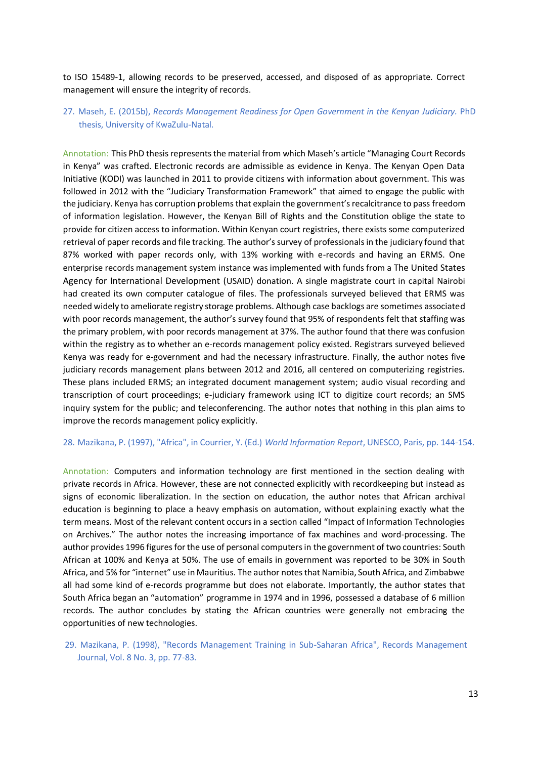to ISO 15489-1, allowing records to be preserved, accessed, and disposed of as appropriate. Correct management will ensure the integrity of records.

# 27. Maseh, E. (2015b), *Records Management Readiness for Open Government in the Kenyan Judiciary.* PhD thesis, University of KwaZulu-Natal.

Annotation: This PhD thesis represents the material from which Maseh's article "Managing Court Records in Kenya" was crafted. Electronic records are admissible as evidence in Kenya. The Kenyan Open Data Initiative (KODI) was launched in 2011 to provide citizens with information about government. This was followed in 2012 with the "Judiciary Transformation Framework" that aimed to engage the public with the judiciary. Kenya has corruption problems that explain the government's recalcitrance to pass freedom of information legislation. However, the Kenyan Bill of Rights and the Constitution oblige the state to provide for citizen access to information. Within Kenyan court registries, there exists some computerized retrieval of paper records and file tracking. The author's survey of professionals in the judiciary found that 87% worked with paper records only, with 13% working with e-records and having an ERMS. One enterprise records management system instance was implemented with funds from a The United States Agency for International Development (USAID) donation. A single magistrate court in capital Nairobi had created its own computer catalogue of files. The professionals surveyed believed that ERMS was needed widely to ameliorate registry storage problems. Although case backlogs are sometimes associated with poor records management, the author's survey found that 95% of respondents felt that staffing was the primary problem, with poor records management at 37%. The author found that there was confusion within the registry as to whether an e-records management policy existed. Registrars surveyed believed Kenya was ready for e-government and had the necessary infrastructure. Finally, the author notes five judiciary records management plans between 2012 and 2016, all centered on computerizing registries. These plans included ERMS; an integrated document management system; audio visual recording and transcription of court proceedings; e-judiciary framework using ICT to digitize court records; an SMS inquiry system for the public; and teleconferencing. The author notes that nothing in this plan aims to improve the records management policy explicitly.

#### 28. Mazikana, P. (1997), "Africa", in Courrier, Y. (Ed.) *World Information Report*, UNESCO, Paris, pp. 144-154.

Annotation: Computers and information technology are first mentioned in the section dealing with private records in Africa. However, these are not connected explicitly with recordkeeping but instead as signs of economic liberalization. In the section on education, the author notes that African archival education is beginning to place a heavy emphasis on automation, without explaining exactly what the term means. Most of the relevant content occurs in a section called "Impact of Information Technologies on Archives." The author notes the increasing importance of fax machines and word-processing. The author provides 1996 figures for the use of personal computers in the government of two countries: South African at 100% and Kenya at 50%. The use of emails in government was reported to be 30% in South Africa, and 5% for "internet" use in Mauritius. The author notes that Namibia, South Africa, and Zimbabwe all had some kind of e-records programme but does not elaborate. Importantly, the author states that South Africa began an "automation" programme in 1974 and in 1996, possessed a database of 6 million records. The author concludes by stating the African countries were generally not embracing the opportunities of new technologies.

29. Mazikana, P. (1998), "Records Management Training in Sub-Saharan Africa", Records Management Journal, Vol. 8 No. 3, pp. 77-83.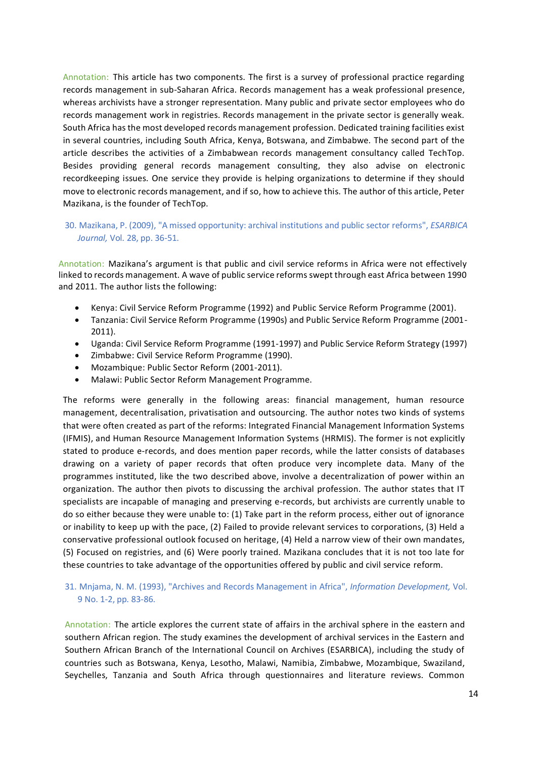Annotation: This article has two components. The first is a survey of professional practice regarding records management in sub-Saharan Africa. Records management has a weak professional presence, whereas archivists have a stronger representation. Many public and private sector employees who do records management work in registries. Records management in the private sector is generally weak. South Africa has the most developed records management profession. Dedicated training facilities exist in several countries, including South Africa, Kenya, Botswana, and Zimbabwe. The second part of the article describes the activities of a Zimbabwean records management consultancy called TechTop. Besides providing general records management consulting, they also advise on electronic recordkeeping issues. One service they provide is helping organizations to determine if they should move to electronic records management, and if so, how to achieve this. The author of this article, Peter Mazikana, is the founder of TechTop.

# 30. Mazikana, P. (2009), "A missed opportunity: archival institutions and public sector reforms", *ESARBICA Journal,* Vol. 28, pp. 36-51.

Annotation: Mazikana's argument is that public and civil service reforms in Africa were not effectively linked to records management. A wave of public service reforms swept through east Africa between 1990 and 2011. The author lists the following:

- Kenya: Civil Service Reform Programme (1992) and Public Service Reform Programme (2001).
- Tanzania: Civil Service Reform Programme (1990s) and Public Service Reform Programme (2001- 2011).
- Uganda: Civil Service Reform Programme (1991-1997) and Public Service Reform Strategy (1997)
- Zimbabwe: Civil Service Reform Programme (1990).
- Mozambique: Public Sector Reform (2001-2011).
- Malawi: Public Sector Reform Management Programme.

The reforms were generally in the following areas: financial management, human resource management, decentralisation, privatisation and outsourcing. The author notes two kinds of systems that were often created as part of the reforms: Integrated Financial Management Information Systems (IFMIS), and Human Resource Management Information Systems (HRMIS). The former is not explicitly stated to produce e-records, and does mention paper records, while the latter consists of databases drawing on a variety of paper records that often produce very incomplete data. Many of the programmes instituted, like the two described above, involve a decentralization of power within an organization. The author then pivots to discussing the archival profession. The author states that IT specialists are incapable of managing and preserving e-records, but archivists are currently unable to do so either because they were unable to: (1) Take part in the reform process, either out of ignorance or inability to keep up with the pace, (2) Failed to provide relevant services to corporations, (3) Held a conservative professional outlook focused on heritage, (4) Held a narrow view of their own mandates, (5) Focused on registries, and (6) Were poorly trained. Mazikana concludes that it is not too late for these countries to take advantage of the opportunities offered by public and civil service reform.

# 31. Mnjama, N. M. (1993), "Archives and Records Management in Africa", *Information Development,* Vol. 9 No. 1-2, pp. 83-86.

Annotation: The article explores the current state of affairs in the archival sphere in the eastern and southern African region. The study examines the development of archival services in the Eastern and Southern African Branch of the International Council on Archives (ESARBICA), including the study of countries such as Botswana, Kenya, Lesotho, Malawi, Namibia, Zimbabwe, Mozambique, Swaziland, Seychelles, Tanzania and South Africa through questionnaires and literature reviews. Common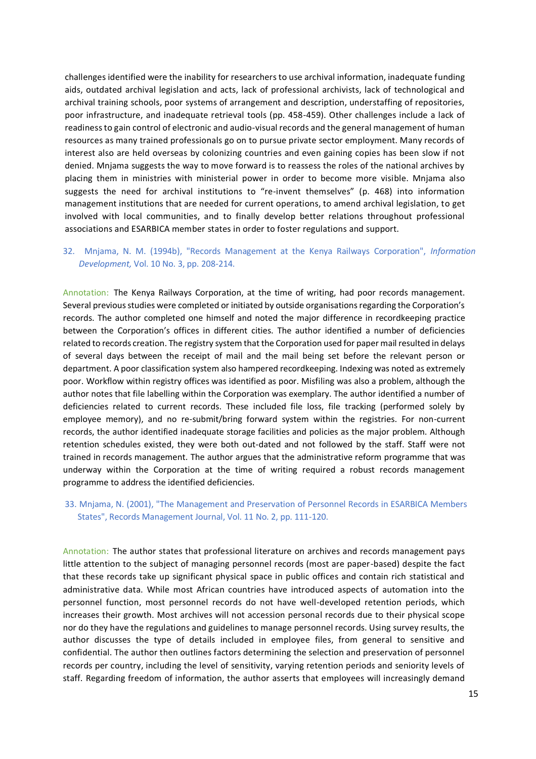challenges identified were the inability for researchers to use archival information, inadequate funding aids, outdated archival legislation and acts, lack of professional archivists, lack of technological and archival training schools, poor systems of arrangement and description, understaffing of repositories, poor infrastructure, and inadequate retrieval tools (pp. 458-459). Other challenges include a lack of readiness to gain control of electronic and audio-visual records and the general management of human resources as many trained professionals go on to pursue private sector employment. Many records of interest also are held overseas by colonizing countries and even gaining copies has been slow if not denied. Mnjama suggests the way to move forward is to reassess the roles of the national archives by placing them in ministries with ministerial power in order to become more visible. Mnjama also suggests the need for archival institutions to "re-invent themselves" (p. 468) into information management institutions that are needed for current operations, to amend archival legislation, to get involved with local communities, and to finally develop better relations throughout professional associations and ESARBICA member states in order to foster regulations and support.

# 32. Mnjama, N. M. (1994b), "Records Management at the Kenya Railways Corporation", *Information Development,* Vol. 10 No. 3, pp. 208-214.

Annotation: The Kenya Railways Corporation, at the time of writing, had poor records management. Several previous studies were completed or initiated by outside organisations regarding the Corporation's records. The author completed one himself and noted the major difference in recordkeeping practice between the Corporation's offices in different cities. The author identified a number of deficiencies related to records creation. The registry system that the Corporation used for paper mail resulted in delays of several days between the receipt of mail and the mail being set before the relevant person or department. A poor classification system also hampered recordkeeping. Indexing was noted as extremely poor. Workflow within registry offices was identified as poor. Misfiling was also a problem, although the author notes that file labelling within the Corporation was exemplary. The author identified a number of deficiencies related to current records. These included file loss, file tracking (performed solely by employee memory), and no re-submit/bring forward system within the registries. For non-current records, the author identified inadequate storage facilities and policies as the major problem. Although retention schedules existed, they were both out-dated and not followed by the staff. Staff were not trained in records management. The author argues that the administrative reform programme that was underway within the Corporation at the time of writing required a robust records management programme to address the identified deficiencies.

#### 33. Mnjama, N. (2001), "The Management and Preservation of Personnel Records in ESARBICA Members States", Records Management Journal, Vol. 11 No. 2, pp. 111-120.

Annotation: The author states that professional literature on archives and records management pays little attention to the subject of managing personnel records (most are paper-based) despite the fact that these records take up significant physical space in public offices and contain rich statistical and administrative data. While most African countries have introduced aspects of automation into the personnel function, most personnel records do not have well-developed retention periods, which increases their growth. Most archives will not accession personal records due to their physical scope nor do they have the regulations and guidelines to manage personnel records. Using survey results, the author discusses the type of details included in employee files, from general to sensitive and confidential. The author then outlines factors determining the selection and preservation of personnel records per country, including the level of sensitivity, varying retention periods and seniority levels of staff. Regarding freedom of information, the author asserts that employees will increasingly demand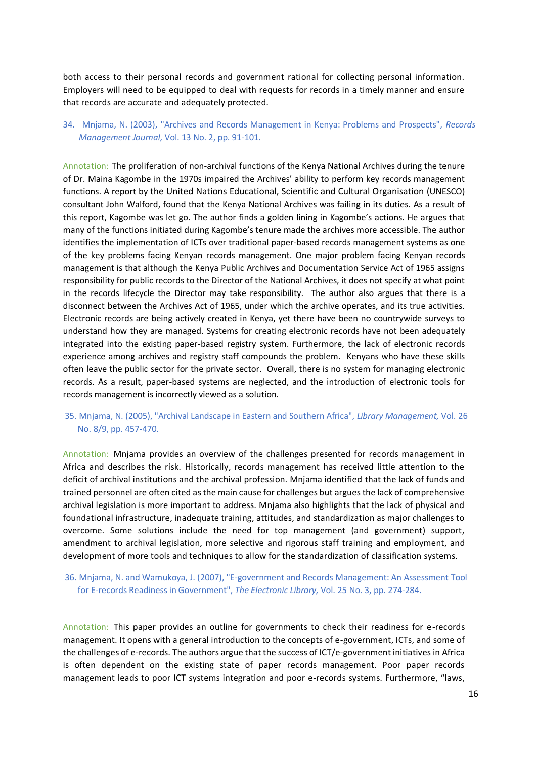both access to their personal records and government rational for collecting personal information. Employers will need to be equipped to deal with requests for records in a timely manner and ensure that records are accurate and adequately protected.

# 34. Mnjama, N. (2003), "Archives and Records Management in Kenya: Problems and Prospects", *Records Management Journal,* Vol. 13 No. 2, pp. 91-101.

Annotation: The proliferation of non-archival functions of the Kenya National Archives during the tenure of Dr. Maina Kagombe in the 1970s impaired the Archives' ability to perform key records management functions. A report by the United Nations Educational, Scientific and Cultural Organisation (UNESCO) consultant John Walford, found that the Kenya National Archives was failing in its duties. As a result of this report, Kagombe was let go. The author finds a golden lining in Kagombe's actions. He argues that many of the functions initiated during Kagombe's tenure made the archives more accessible. The author identifies the implementation of ICTs over traditional paper-based records management systems as one of the key problems facing Kenyan records management. One major problem facing Kenyan records management is that although the Kenya Public Archives and Documentation Service Act of 1965 assigns responsibility for public records to the Director of the National Archives, it does not specify at what point in the records lifecycle the Director may take responsibility. The author also argues that there is a disconnect between the Archives Act of 1965, under which the archive operates, and its true activities. Electronic records are being actively created in Kenya, yet there have been no countrywide surveys to understand how they are managed. Systems for creating electronic records have not been adequately integrated into the existing paper-based registry system. Furthermore, the lack of electronic records experience among archives and registry staff compounds the problem. Kenyans who have these skills often leave the public sector for the private sector. Overall, there is no system for managing electronic records. As a result, paper-based systems are neglected, and the introduction of electronic tools for records management is incorrectly viewed as a solution.

### 35. Mnjama, N. (2005), "Archival Landscape in Eastern and Southern Africa", *Library Management,* Vol. 26 No. 8/9, pp. 457-470.

Annotation: Mnjama provides an overview of the challenges presented for records management in Africa and describes the risk. Historically, records management has received little attention to the deficit of archival institutions and the archival profession. Mnjama identified that the lack of funds and trained personnel are often cited as the main cause for challenges but argues the lack of comprehensive archival legislation is more important to address. Mnjama also highlights that the lack of physical and foundational infrastructure, inadequate training, attitudes, and standardization as major challenges to overcome. Some solutions include the need for top management (and government) support, amendment to archival legislation, more selective and rigorous staff training and employment, and development of more tools and techniques to allow for the standardization of classification systems.

# 36. Mnjama, N. and Wamukoya, J. (2007), "E-government and Records Management: An Assessment Tool for E-records Readiness in Government", *The Electronic Library,* Vol. 25 No. 3, pp. 274-284.

Annotation: This paper provides an outline for governments to check their readiness for e-records management. It opens with a general introduction to the concepts of e-government, ICTs, and some of the challenges of e-records. The authors argue that the success of ICT/e-government initiatives in Africa is often dependent on the existing state of paper records management. Poor paper records management leads to poor ICT systems integration and poor e-records systems. Furthermore, "laws,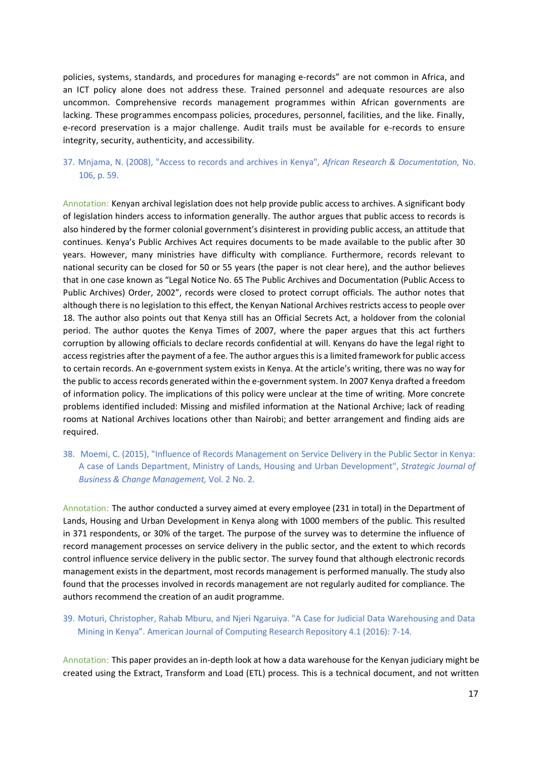policies, systems, standards, and procedures for managing e-records" are not common in Africa, and an ICT policy alone does not address these. Trained personnel and adequate resources are also uncommon. Comprehensive records management programmes within African governments are lacking. These programmes encompass policies, procedures, personnel, facilities, and the like. Finally, e-record preservation is a major challenge. Audit trails must be available for e-records to ensure integrity, security, authenticity, and accessibility.

# 37. Mnjama, N. (2008), "Access to records and archives in Kenya", *African Research & Documentation,* No. 106, p. 59.

Annotation: Kenyan archival legislation does not help provide public access to archives. A significant body of legislation hinders access to information generally. The author argues that public access to records is also hindered by the former colonial government's disinterest in providing public access, an attitude that continues. Kenya's Public Archives Act requires documents to be made available to the public after 30 years. However, many ministries have difficulty with compliance. Furthermore, records relevant to national security can be closed for 50 or 55 years (the paper is not clear here), and the author believes that in one case known as "Legal Notice No. 65 The Public Archives and Documentation (Public Access to Public Archives) Order, 2002", records were closed to protect corrupt officials. The author notes that although there is no legislation to this effect, the Kenyan National Archives restricts access to people over 18. The author also points out that Kenya still has an Official Secrets Act, a holdover from the colonial period. The author quotes the Kenya Times of 2007, where the paper argues that this act furthers corruption by allowing officials to declare records confidential at will. Kenyans do have the legal right to access registries after the payment of a fee. The author argues this is a limited framework for public access to certain records. An e-government system exists in Kenya. At the article's writing, there was no way for the public to access records generated within the e-government system. In 2007 Kenya drafted a freedom of information policy. The implications of this policy were unclear at the time of writing. More concrete problems identified included: Missing and misfiled information at the National Archive; lack of reading rooms at National Archives locations other than Nairobi; and better arrangement and finding aids are required.

38. Moemi, C. (2015), "Influence of Records Management on Service Delivery in the Public Sector in Kenya: A case of Lands Department, Ministry of Lands, Housing and Urban Development", *Strategic Journal of Business & Change Management,* Vol. 2 No. 2.

Annotation: The author conducted a survey aimed at every employee (231 in total) in the Department of Lands, Housing and Urban Development in Kenya along with 1000 members of the public. This resulted in 371 respondents, or 30% of the target. The purpose of the survey was to determine the influence of record management processes on service delivery in the public sector, and the extent to which records control influence service delivery in the public sector. The survey found that although electronic records management exists in the department, most records management is performed manually. The study also found that the processes involved in records management are not regularly audited for compliance. The authors recommend the creation of an audit programme.

# 39. Moturi, Christopher, Rahab Mburu, and Njeri Ngaruiya. "A Case for Judicial Data Warehousing and Data Mining in Kenya". American Journal of Computing Research Repository 4.1 (2016): 7-14.

Annotation: This paper provides an in-depth look at how a data warehouse for the Kenyan judiciary might be created using the Extract, Transform and Load (ETL) process. This is a technical document, and not written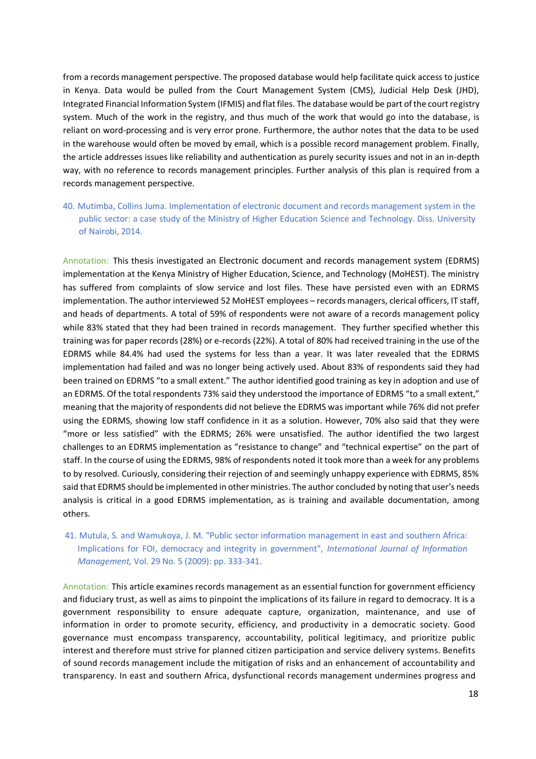from a records management perspective. The proposed database would help facilitate quick access to justice in Kenya. Data would be pulled from the Court Management System (CMS), Judicial Help Desk (JHD), Integrated Financial Information System (IFMIS) and flat files. The database would be part of the court registry system. Much of the work in the registry, and thus much of the work that would go into the database, is reliant on word-processing and is very error prone. Furthermore, the author notes that the data to be used in the warehouse would often be moved by email, which is a possible record management problem. Finally, the article addresses issues like reliability and authentication as purely security issues and not in an in-depth way, with no reference to records management principles. Further analysis of this plan is required from a records management perspective.

40. Mutimba, Collins Juma. Implementation of electronic document and records management system in the public sector: a case study of the Ministry of Higher Education Science and Technology. Diss. University of Nairobi, 2014.

Annotation: This thesis investigated an Electronic document and records management system (EDRMS) implementation at the Kenya Ministry of Higher Education, Science, and Technology (MoHEST). The ministry has suffered from complaints of slow service and lost files. These have persisted even with an EDRMS implementation. The author interviewed 52 MoHEST employees – records managers, clerical officers, IT staff, and heads of departments. A total of 59% of respondents were not aware of a records management policy while 83% stated that they had been trained in records management. They further specified whether this training was for paper records (28%) or e-records (22%). A total of 80% had received training in the use of the EDRMS while 84.4% had used the systems for less than a year. It was later revealed that the EDRMS implementation had failed and was no longer being actively used. About 83% of respondents said they had been trained on EDRMS "to a small extent." The author identified good training as key in adoption and use of an EDRMS. Of the total respondents 73% said they understood the importance of EDRMS "to a small extent," meaning that the majority of respondents did not believe the EDRMS was important while 76% did not prefer using the EDRMS, showing low staff confidence in it as a solution. However, 70% also said that they were "more or less satisfied" with the EDRMS; 26% were unsatisfied. The author identified the two largest challenges to an EDRMS implementation as "resistance to change" and "technical expertise" on the part of staff. In the course of using the EDRMS, 98% of respondents noted it took more than a week for any problems to by resolved. Curiously, considering their rejection of and seemingly unhappy experience with EDRMS, 85% said that EDRMS should be implemented in other ministries. The author concluded by noting that user's needs analysis is critical in a good EDRMS implementation, as is training and available documentation, among others.

41. Mutula, S. and Wamukoya, J. M. "Public sector information management in east and southern Africa: Implications for FOI, democracy and integrity in government", *International Journal of Information Management,* Vol. 29 No. 5 (2009): pp. 333-341.

Annotation: This article examines records management as an essential function for government efficiency and fiduciary trust, as well as aims to pinpoint the implications of its failure in regard to democracy. It is a government responsibility to ensure adequate capture, organization, maintenance, and use of information in order to promote security, efficiency, and productivity in a democratic society. Good governance must encompass transparency, accountability, political legitimacy, and prioritize public interest and therefore must strive for planned citizen participation and service delivery systems. Benefits of sound records management include the mitigation of risks and an enhancement of accountability and transparency. In east and southern Africa, dysfunctional records management undermines progress and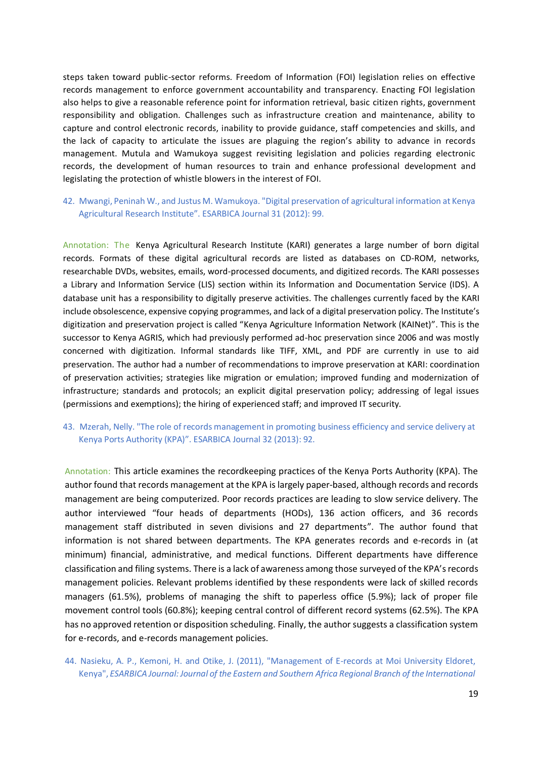steps taken toward public-sector reforms. Freedom of Information (FOI) legislation relies on effective records management to enforce government accountability and transparency. Enacting FOI legislation also helps to give a reasonable reference point for information retrieval, basic citizen rights, government responsibility and obligation. Challenges such as infrastructure creation and maintenance, ability to capture and control electronic records, inability to provide guidance, staff competencies and skills, and the lack of capacity to articulate the issues are plaguing the region's ability to advance in records management. Mutula and Wamukoya suggest revisiting legislation and policies regarding electronic records, the development of human resources to train and enhance professional development and legislating the protection of whistle blowers in the interest of FOI.

# 42. Mwangi, Peninah W., and Justus M. Wamukoya. "Digital preservation of agricultural information at Kenya Agricultural Research Institute". ESARBICA Journal 31 (2012): 99.

Annotation: The Kenya Agricultural Research Institute (KARI) generates a large number of born digital records. Formats of these digital agricultural records are listed as databases on CD-ROM, networks, researchable DVDs, websites, emails, word-processed documents, and digitized records. The KARI possesses a Library and Information Service (LIS) section within its Information and Documentation Service (IDS). A database unit has a responsibility to digitally preserve activities. The challenges currently faced by the KARI include obsolescence, expensive copying programmes, and lack of a digital preservation policy. The Institute's digitization and preservation project is called "Kenya Agriculture Information Network (KAINet)". This is the successor to Kenya AGRIS, which had previously performed ad-hoc preservation since 2006 and was mostly concerned with digitization. Informal standards like TIFF, XML, and PDF are currently in use to aid preservation. The author had a number of recommendations to improve preservation at KARI: coordination of preservation activities; strategies like migration or emulation; improved funding and modernization of infrastructure; standards and protocols; an explicit digital preservation policy; addressing of legal issues (permissions and exemptions); the hiring of experienced staff; and improved IT security.

### 43. Mzerah, Nelly. "The role of records management in promoting business efficiency and service delivery at Kenya Ports Authority (KPA)". ESARBICA Journal 32 (2013): 92.

Annotation: This article examines the recordkeeping practices of the Kenya Ports Authority (KPA). The author found that records management at the KPA is largely paper-based, although records and records management are being computerized. Poor records practices are leading to slow service delivery. The author interviewed "four heads of departments (HODs), 136 action officers, and 36 records management staff distributed in seven divisions and 27 departments". The author found that information is not shared between departments. The KPA generates records and e-records in (at minimum) financial, administrative, and medical functions. Different departments have difference classification and filing systems. There is a lack of awareness among those surveyed of the KPA's records management policies. Relevant problems identified by these respondents were lack of skilled records managers (61.5%), problems of managing the shift to paperless office (5.9%); lack of proper file movement control tools (60.8%); keeping central control of different record systems (62.5%). The KPA has no approved retention or disposition scheduling. Finally, the author suggests a classification system for e-records, and e-records management policies.

# 44. Nasieku, A. P., Kemoni, H. and Otike, J. (2011), "Management of E-records at Moi University Eldoret, Kenya", *ESARBICA Journal: Journal of the Eastern and Southern Africa Regional Branch of the International*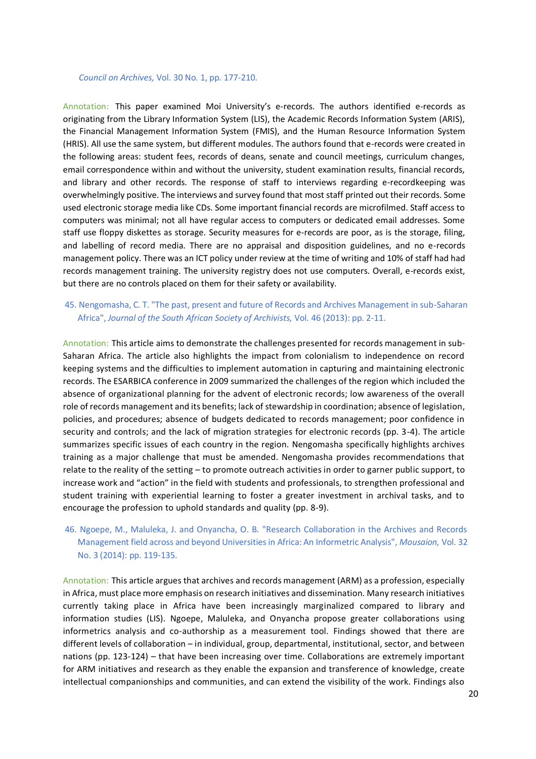#### *Council on Archives,* Vol. 30 No. 1, pp. 177-210.

Annotation: This paper examined Moi University's e-records. The authors identified e-records as originating from the Library Information System (LIS), the Academic Records Information System (ARIS), the Financial Management Information System (FMIS), and the Human Resource Information System (HRIS). All use the same system, but different modules. The authors found that e-records were created in the following areas: student fees, records of deans, senate and council meetings, curriculum changes, email correspondence within and without the university, student examination results, financial records, and library and other records. The response of staff to interviews regarding e-recordkeeping was overwhelmingly positive. The interviews and survey found that most staff printed out their records. Some used electronic storage media like CDs. Some important financial records are microfilmed. Staff access to computers was minimal; not all have regular access to computers or dedicated email addresses. Some staff use floppy diskettes as storage. Security measures for e-records are poor, as is the storage, filing, and labelling of record media. There are no appraisal and disposition guidelines, and no e-records management policy. There was an ICT policy under review at the time of writing and 10% of staff had had records management training. The university registry does not use computers. Overall, e-records exist, but there are no controls placed on them for their safety or availability.

#### 45. Nengomasha, C. T. "The past, present and future of Records and Archives Management in sub-Saharan Africa", *Journal of the South African Society of Archivists,* Vol. 46 (2013): pp. 2-11.

Annotation: This article aims to demonstrate the challenges presented for records management in sub-Saharan Africa. The article also highlights the impact from colonialism to independence on record keeping systems and the difficulties to implement automation in capturing and maintaining electronic records. The ESARBICA conference in 2009 summarized the challenges of the region which included the absence of organizational planning for the advent of electronic records; low awareness of the overall role of records management and its benefits; lack of stewardship in coordination; absence of legislation, policies, and procedures; absence of budgets dedicated to records management; poor confidence in security and controls; and the lack of migration strategies for electronic records (pp. 3-4). The article summarizes specific issues of each country in the region. Nengomasha specifically highlights archives training as a major challenge that must be amended. Nengomasha provides recommendations that relate to the reality of the setting – to promote outreach activities in order to garner public support, to increase work and "action" in the field with students and professionals, to strengthen professional and student training with experiential learning to foster a greater investment in archival tasks, and to encourage the profession to uphold standards and quality (pp. 8-9).

# 46. Ngoepe, M., Maluleka, J. and Onyancha, O. B. "Research Collaboration in the Archives and Records Management field across and beyond Universities in Africa: An Informetric Analysis", *Mousaion,* Vol. 32 No. 3 (2014): pp. 119-135.

Annotation: This article argues that archives and records management (ARM) as a profession, especially in Africa, must place more emphasis on research initiatives and dissemination. Many research initiatives currently taking place in Africa have been increasingly marginalized compared to library and information studies (LIS). Ngoepe, Maluleka, and Onyancha propose greater collaborations using informetrics analysis and co-authorship as a measurement tool. Findings showed that there are different levels of collaboration – in individual, group, departmental, institutional, sector, and between nations (pp. 123-124) – that have been increasing over time. Collaborations are extremely important for ARM initiatives and research as they enable the expansion and transference of knowledge, create intellectual companionships and communities, and can extend the visibility of the work. Findings also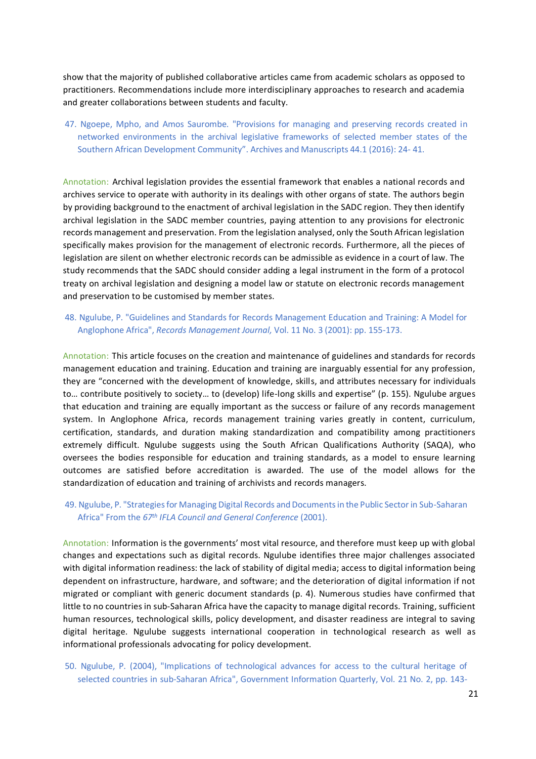show that the majority of published collaborative articles came from academic scholars as opposed to practitioners. Recommendations include more interdisciplinary approaches to research and academia and greater collaborations between students and faculty.

47. Ngoepe, Mpho, and Amos Saurombe. "Provisions for managing and preserving records created in networked environments in the archival legislative frameworks of selected member states of the Southern African Development Community". Archives and Manuscripts 44.1 (2016): 24- 41.

Annotation: Archival legislation provides the essential framework that enables a national records and archives service to operate with authority in its dealings with other organs of state. The authors begin by providing background to the enactment of archival legislation in the SADC region. They then identify archival legislation in the SADC member countries, paying attention to any provisions for electronic records management and preservation. From the legislation analysed, only the South African legislation specifically makes provision for the management of electronic records. Furthermore, all the pieces of legislation are silent on whether electronic records can be admissible as evidence in a court of law. The study recommends that the SADC should consider adding a legal instrument in the form of a protocol treaty on archival legislation and designing a model law or statute on electronic records management and preservation to be customised by member states.

#### 48. Ngulube, P. "Guidelines and Standards for Records Management Education and Training: A Model for Anglophone Africa", *Records Management Journal,* Vol. 11 No. 3 (2001): pp. 155-173.

Annotation: This article focuses on the creation and maintenance of guidelines and standards for records management education and training. Education and training are inarguably essential for any profession, they are "concerned with the development of knowledge, skills, and attributes necessary for individuals to… contribute positively to society… to (develop) life-long skills and expertise" (p. 155). Ngulube argues that education and training are equally important as the success or failure of any records management system. In Anglophone Africa, records management training varies greatly in content, curriculum, certification, standards, and duration making standardization and compatibility among practitioners extremely difficult. Ngulube suggests using the South African Qualifications Authority (SAQA), who oversees the bodies responsible for education and training standards, as a model to ensure learning outcomes are satisfied before accreditation is awarded. The use of the model allows for the standardization of education and training of archivists and records managers.

#### 49. Ngulube, P. "Strategies for Managing Digital Records and Documents in the Public Sector in Sub-Saharan Africa" From the *67th IFLA Council and General Conference* (2001).

Annotation: Information is the governments' most vital resource, and therefore must keep up with global changes and expectations such as digital records. Ngulube identifies three major challenges associated with digital information readiness: the lack of stability of digital media; access to digital information being dependent on infrastructure, hardware, and software; and the deterioration of digital information if not migrated or compliant with generic document standards (p. 4). Numerous studies have confirmed that little to no countries in sub-Saharan Africa have the capacity to manage digital records. Training, sufficient human resources, technological skills, policy development, and disaster readiness are integral to saving digital heritage. Ngulube suggests international cooperation in technological research as well as informational professionals advocating for policy development.

50. Ngulube, P. (2004), "Implications of technological advances for access to the cultural heritage of selected countries in sub-Saharan Africa", Government Information Quarterly, Vol. 21 No. 2, pp. 143-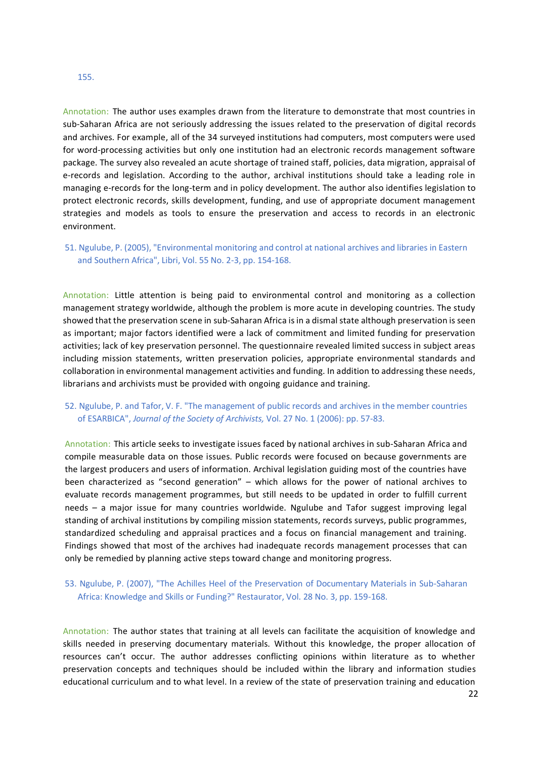#### 155.

Annotation: The author uses examples drawn from the literature to demonstrate that most countries in sub-Saharan Africa are not seriously addressing the issues related to the preservation of digital records and archives. For example, all of the 34 surveyed institutions had computers, most computers were used for word-processing activities but only one institution had an electronic records management software package. The survey also revealed an acute shortage of trained staff, policies, data migration, appraisal of e-records and legislation. According to the author, archival institutions should take a leading role in managing e-records for the long-term and in policy development. The author also identifies legislation to protect electronic records, skills development, funding, and use of appropriate document management strategies and models as tools to ensure the preservation and access to records in an electronic environment.

# 51. Ngulube, P. (2005), "Environmental monitoring and control at national archives and libraries in Eastern and Southern Africa", Libri, Vol. 55 No. 2-3, pp. 154-168.

Annotation: Little attention is being paid to environmental control and monitoring as a collection management strategy worldwide, although the problem is more acute in developing countries. The study showed that the preservation scene in sub-Saharan Africa is in a dismal state although preservation is seen as important; major factors identified were a lack of commitment and limited funding for preservation activities; lack of key preservation personnel. The questionnaire revealed limited success in subject areas including mission statements, written preservation policies, appropriate environmental standards and collaboration in environmental management activities and funding. In addition to addressing these needs, librarians and archivists must be provided with ongoing guidance and training.

# 52. Ngulube, P. and Tafor, V. F. "The management of public records and archives in the member countries of ESARBICA", *Journal of the Society of Archivists,* Vol. 27 No. 1 (2006): pp. 57-83.

Annotation: This article seeks to investigate issues faced by national archives in sub-Saharan Africa and compile measurable data on those issues. Public records were focused on because governments are the largest producers and users of information. Archival legislation guiding most of the countries have been characterized as "second generation" – which allows for the power of national archives to evaluate records management programmes, but still needs to be updated in order to fulfill current needs – a major issue for many countries worldwide. Ngulube and Tafor suggest improving legal standing of archival institutions by compiling mission statements, records surveys, public programmes, standardized scheduling and appraisal practices and a focus on financial management and training. Findings showed that most of the archives had inadequate records management processes that can only be remedied by planning active steps toward change and monitoring progress.

### 53. Ngulube, P. (2007), "The Achilles Heel of the Preservation of Documentary Materials in Sub-Saharan Africa: Knowledge and Skills or Funding?" Restaurator, Vol. 28 No. 3, pp. 159-168.

Annotation: The author states that training at all levels can facilitate the acquisition of knowledge and skills needed in preserving documentary materials. Without this knowledge, the proper allocation of resources can't occur. The author addresses conflicting opinions within literature as to whether preservation concepts and techniques should be included within the library and information studies educational curriculum and to what level. In a review of the state of preservation training and education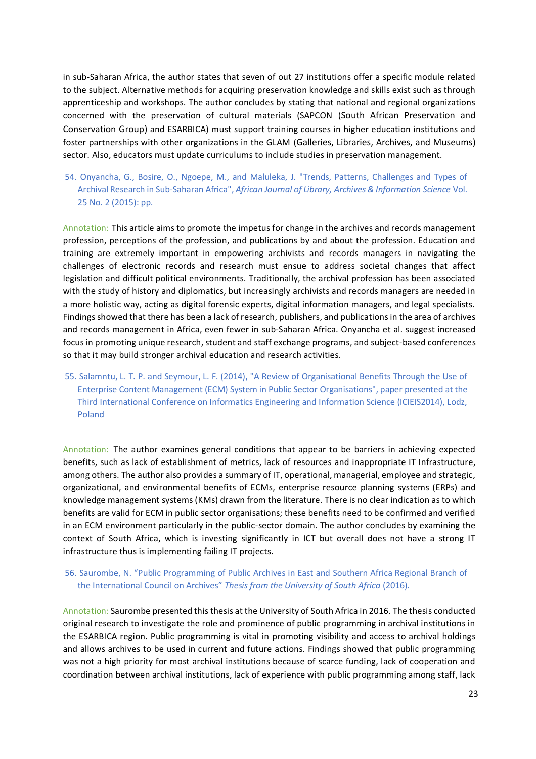in sub-Saharan Africa, the author states that seven of out 27 institutions offer a specific module related to the subject. Alternative methods for acquiring preservation knowledge and skills exist such as through apprenticeship and workshops. The author concludes by stating that national and regional organizations concerned with the preservation of cultural materials (SAPCON (South African Preservation and Conservation Group) and ESARBICA) must support training courses in higher education institutions and foster partnerships with other organizations in the GLAM (Galleries, Libraries, Archives, and Museums) sector. Also, educators must update curriculums to include studies in preservation management.

54. Onyancha, G., Bosire, O., Ngoepe, M., and Maluleka, J. "Trends, Patterns, Challenges and Types of Archival Research in Sub-Saharan Africa", *African Journal of Library, Archives & Information Science* Vol. 25 No. 2 (2015): pp.

Annotation: This article aims to promote the impetus for change in the archives and records management profession, perceptions of the profession, and publications by and about the profession. Education and training are extremely important in empowering archivists and records managers in navigating the challenges of electronic records and research must ensue to address societal changes that affect legislation and difficult political environments. Traditionally, the archival profession has been associated with the study of history and diplomatics, but increasingly archivists and records managers are needed in a more holistic way, acting as digital forensic experts, digital information managers, and legal specialists. Findings showed that there has been a lack of research, publishers, and publications in the area of archives and records management in Africa, even fewer in sub-Saharan Africa. Onyancha et al. suggest increased focus in promoting unique research, student and staff exchange programs, and subject-based conferences so that it may build stronger archival education and research activities.

55. Salamntu, L. T. P. and Seymour, L. F. (2014), "A Review of Organisational Benefits Through the Use of Enterprise Content Management (ECM) System in Public Sector Organisations", paper presented at the Third International Conference on Informatics Engineering and Information Science (ICIEIS2014), Lodz, Poland

Annotation: The author examines general conditions that appear to be barriers in achieving expected benefits, such as lack of establishment of metrics, lack of resources and inappropriate IT Infrastructure, among others. The author also provides a summary of IT, operational, managerial, employee and strategic, organizational, and environmental benefits of ECMs, enterprise resource planning systems (ERPs) and knowledge management systems (KMs) drawn from the literature. There is no clear indication as to which benefits are valid for ECM in public sector organisations; these benefits need to be confirmed and verified in an ECM environment particularly in the public-sector domain. The author concludes by examining the context of South Africa, which is investing significantly in ICT but overall does not have a strong IT infrastructure thus is implementing failing IT projects.

# 56. Saurombe, N. "Public Programming of Public Archives in East and Southern Africa Regional Branch of the International Council on Archives" *Thesis from the University of South Africa* (2016).

Annotation: Saurombe presented this thesis at the University of South Africa in 2016. The thesis conducted original research to investigate the role and prominence of public programming in archival institutions in the ESARBICA region. Public programming is vital in promoting visibility and access to archival holdings and allows archives to be used in current and future actions. Findings showed that public programming was not a high priority for most archival institutions because of scarce funding, lack of cooperation and coordination between archival institutions, lack of experience with public programming among staff, lack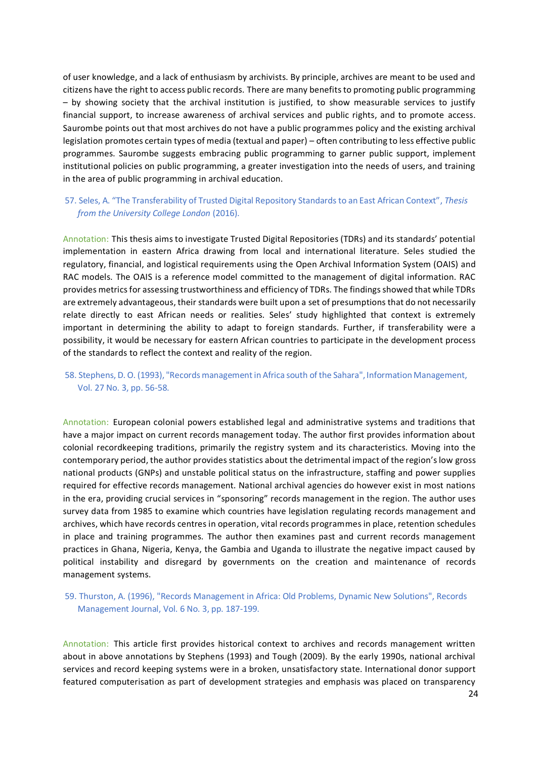of user knowledge, and a lack of enthusiasm by archivists. By principle, archives are meant to be used and citizens have the right to access public records. There are many benefits to promoting public programming – by showing society that the archival institution is justified, to show measurable services to justify financial support, to increase awareness of archival services and public rights, and to promote access. Saurombe points out that most archives do not have a public programmes policy and the existing archival legislation promotes certain types of media (textual and paper) – often contributing to less effective public programmes. Saurombe suggests embracing public programming to garner public support, implement institutional policies on public programming, a greater investigation into the needs of users, and training in the area of public programming in archival education.

# 57. Seles, A. "The Transferability of Trusted Digital Repository Standards to an East African Context", *Thesis from the University College London* (2016).

Annotation: This thesis aims to investigate Trusted Digital Repositories (TDRs) and its standards' potential implementation in eastern Africa drawing from local and international literature. Seles studied the regulatory, financial, and logistical requirements using the Open Archival Information System (OAIS) and RAC models. The OAIS is a reference model committed to the management of digital information. RAC provides metrics for assessing trustworthiness and efficiency of TDRs. The findings showed that while TDRs are extremely advantageous, their standards were built upon a set of presumptions that do not necessarily relate directly to east African needs or realities. Seles' study highlighted that context is extremely important in determining the ability to adapt to foreign standards. Further, if transferability were a possibility, it would be necessary for eastern African countries to participate in the development process of the standards to reflect the context and reality of the region.

# 58. Stephens, D. O. (1993), "Records management in Africa south of the Sahara", Information Management, Vol. 27 No. 3, pp. 56-58.

Annotation: European colonial powers established legal and administrative systems and traditions that have a major impact on current records management today. The author first provides information about colonial recordkeeping traditions, primarily the registry system and its characteristics. Moving into the contemporary period, the author provides statistics about the detrimental impact of the region's low gross national products (GNPs) and unstable political status on the infrastructure, staffing and power supplies required for effective records management. National archival agencies do however exist in most nations in the era, providing crucial services in "sponsoring" records management in the region. The author uses survey data from 1985 to examine which countries have legislation regulating records management and archives, which have records centres in operation, vital records programmes in place, retention schedules in place and training programmes. The author then examines past and current records management practices in Ghana, Nigeria, Kenya, the Gambia and Uganda to illustrate the negative impact caused by political instability and disregard by governments on the creation and maintenance of records management systems.

# 59. Thurston, A. (1996), "Records Management in Africa: Old Problems, Dynamic New Solutions", Records Management Journal, Vol. 6 No. 3, pp. 187-199.

Annotation: This article first provides historical context to archives and records management written about in above annotations by Stephens (1993) and Tough (2009). By the early 1990s, national archival services and record keeping systems were in a broken, unsatisfactory state. International donor support featured computerisation as part of development strategies and emphasis was placed on transparency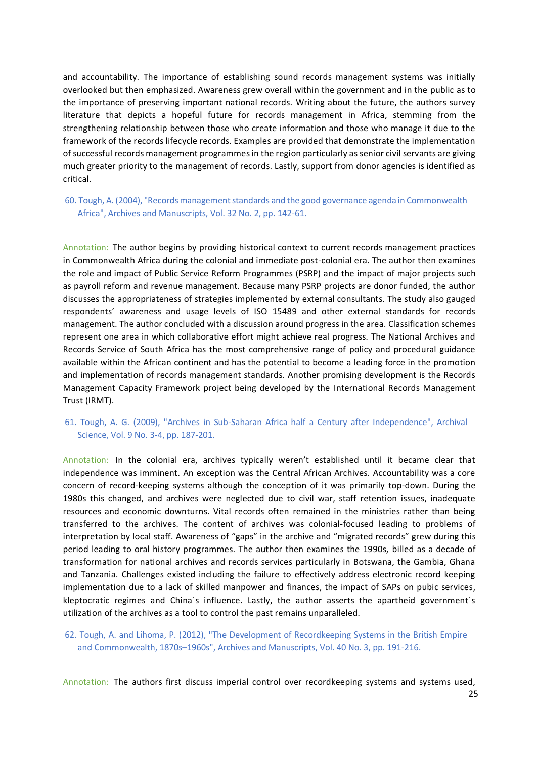and accountability. The importance of establishing sound records management systems was initially overlooked but then emphasized. Awareness grew overall within the government and in the public as to the importance of preserving important national records. Writing about the future, the authors survey literature that depicts a hopeful future for records management in Africa, stemming from the strengthening relationship between those who create information and those who manage it due to the framework of the records lifecycle records. Examples are provided that demonstrate the implementation of successful records management programmes in the region particularly as senior civil servants are giving much greater priority to the management of records. Lastly, support from donor agencies is identified as critical.

### 60. Tough, A. (2004), "Records management standards and the good governance agenda in Commonwealth Africa", Archives and Manuscripts, Vol. 32 No. 2, pp. 142-61.

Annotation: The author begins by providing historical context to current records management practices in Commonwealth Africa during the colonial and immediate post-colonial era. The author then examines the role and impact of Public Service Reform Programmes (PSRP) and the impact of major projects such as payroll reform and revenue management. Because many PSRP projects are donor funded, the author discusses the appropriateness of strategies implemented by external consultants. The study also gauged respondents' awareness and usage levels of ISO 15489 and other external standards for records management. The author concluded with a discussion around progress in the area. Classification schemes represent one area in which collaborative effort might achieve real progress. The National Archives and Records Service of South Africa has the most comprehensive range of policy and procedural guidance available within the African continent and has the potential to become a leading force in the promotion and implementation of records management standards. Another promising development is the Records Management Capacity Framework project being developed by the International Records Management Trust (IRMT).

# 61. Tough, A. G. (2009), "Archives in Sub-Saharan Africa half a Century after Independence", Archival Science, Vol. 9 No. 3-4, pp. 187-201.

Annotation: In the colonial era, archives typically weren't established until it became clear that independence was imminent. An exception was the Central African Archives. Accountability was a core concern of record-keeping systems although the conception of it was primarily top-down. During the 1980s this changed, and archives were neglected due to civil war, staff retention issues, inadequate resources and economic downturns. Vital records often remained in the ministries rather than being transferred to the archives. The content of archives was colonial-focused leading to problems of interpretation by local staff. Awareness of "gaps" in the archive and "migrated records" grew during this period leading to oral history programmes. The author then examines the 1990s, billed as a decade of transformation for national archives and records services particularly in Botswana, the Gambia, Ghana and Tanzania. Challenges existed including the failure to effectively address electronic record keeping implementation due to a lack of skilled manpower and finances, the impact of SAPs on pubic services, kleptocratic regimes and China´s influence. Lastly, the author asserts the apartheid government´s utilization of the archives as a tool to control the past remains unparalleled.

## 62. Tough, A. and Lihoma, P. (2012), "The Development of Recordkeeping Systems in the British Empire and Commonwealth, 1870s–1960s", Archives and Manuscripts, Vol. 40 No. 3, pp. 191-216.

Annotation: The authors first discuss imperial control over recordkeeping systems and systems used,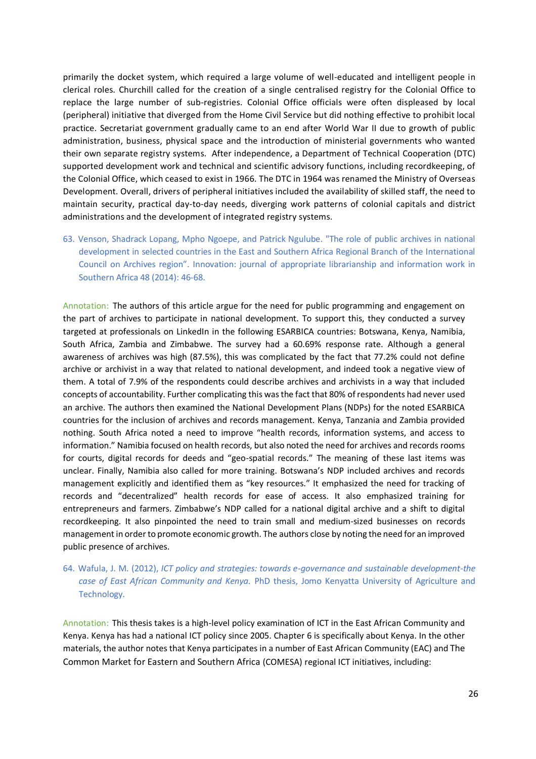primarily the docket system, which required a large volume of well-educated and intelligent people in clerical roles. Churchill called for the creation of a single centralised registry for the Colonial Office to replace the large number of sub-registries. Colonial Office officials were often displeased by local (peripheral) initiative that diverged from the Home Civil Service but did nothing effective to prohibit local practice. Secretariat government gradually came to an end after World War II due to growth of public administration, business, physical space and the introduction of ministerial governments who wanted their own separate registry systems. After independence, a Department of Technical Cooperation (DTC) supported development work and technical and scientific advisory functions, including recordkeeping, of the Colonial Office, which ceased to exist in 1966. The DTC in 1964 was renamed the Ministry of Overseas Development. Overall, drivers of peripheral initiatives included the availability of skilled staff, the need to maintain security, practical day-to-day needs, diverging work patterns of colonial capitals and district administrations and the development of integrated registry systems.

63. Venson, Shadrack Lopang, Mpho Ngoepe, and Patrick Ngulube. "The role of public archives in national development in selected countries in the East and Southern Africa Regional Branch of the International Council on Archives region". Innovation: journal of appropriate librarianship and information work in Southern Africa 48 (2014): 46-68.

Annotation: The authors of this article argue for the need for public programming and engagement on the part of archives to participate in national development. To support this, they conducted a survey targeted at professionals on LinkedIn in the following ESARBICA countries: Botswana, Kenya, Namibia, South Africa, Zambia and Zimbabwe. The survey had a 60.69% response rate. Although a general awareness of archives was high (87.5%), this was complicated by the fact that 77.2% could not define archive or archivist in a way that related to national development, and indeed took a negative view of them. A total of 7.9% of the respondents could describe archives and archivists in a way that included concepts of accountability. Further complicating this was the fact that 80% of respondents had never used an archive. The authors then examined the National Development Plans (NDPs) for the noted ESARBICA countries for the inclusion of archives and records management. Kenya, Tanzania and Zambia provided nothing. South Africa noted a need to improve "health records, information systems, and access to information." Namibia focused on health records, but also noted the need for archives and records rooms for courts, digital records for deeds and "geo-spatial records." The meaning of these last items was unclear. Finally, Namibia also called for more training. Botswana's NDP included archives and records management explicitly and identified them as "key resources." It emphasized the need for tracking of records and "decentralized" health records for ease of access. It also emphasized training for entrepreneurs and farmers. Zimbabwe's NDP called for a national digital archive and a shift to digital recordkeeping. It also pinpointed the need to train small and medium-sized businesses on records management in order to promote economic growth. The authors close by noting the need for an improved public presence of archives.

# 64. Wafula, J. M. (2012), *ICT policy and strategies: towards e-governance and sustainable development-the case of East African Community and Kenya.* PhD thesis, Jomo Kenyatta University of Agriculture and Technology.

Annotation: This thesis takes is a high-level policy examination of ICT in the East African Community and Kenya. Kenya has had a national ICT policy since 2005. Chapter 6 is specifically about Kenya. In the other materials, the author notes that Kenya participates in a number of East African Community (EAC) and The Common Market for Eastern and Southern Africa (COMESA) regional ICT initiatives, including: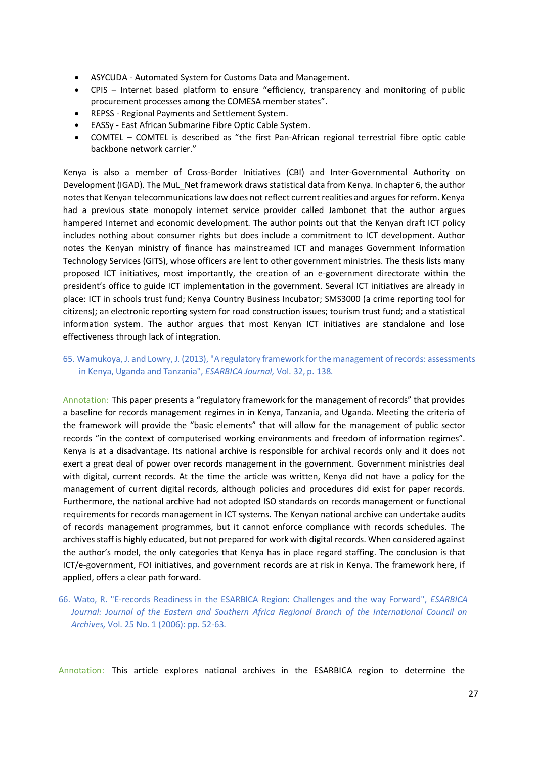- ASYCUDA Automated System for Customs Data and Management.
- CPIS Internet based platform to ensure "efficiency, transparency and monitoring of public procurement processes among the COMESA member states".
- REPSS Regional Payments and Settlement System.
- EASSy East African Submarine Fibre Optic Cable System.
- COMTEL COMTEL is described as "the first Pan-African regional terrestrial fibre optic cable backbone network carrier."

Kenya is also a member of Cross-Border Initiatives (CBI) and Inter-Governmental Authority on Development (IGAD). The MuL\_Net framework draws statistical data from Kenya. In chapter 6, the author notes that Kenyan telecommunications law does not reflect current realities and argues for reform. Kenya had a previous state monopoly internet service provider called Jambonet that the author argues hampered Internet and economic development. The author points out that the Kenyan draft ICT policy includes nothing about consumer rights but does include a commitment to ICT development. Author notes the Kenyan ministry of finance has mainstreamed ICT and manages Government Information Technology Services (GITS), whose officers are lent to other government ministries. The thesis lists many proposed ICT initiatives, most importantly, the creation of an e-government directorate within the president's office to guide ICT implementation in the government. Several ICT initiatives are already in place: ICT in schools trust fund; Kenya Country Business Incubator; SMS3000 (a crime reporting tool for citizens); an electronic reporting system for road construction issues; tourism trust fund; and a statistical information system. The author argues that most Kenyan ICT initiatives are standalone and lose effectiveness through lack of integration.

65. Wamukoya, J. and Lowry, J. (2013), "A regulatory framework for the management of records: assessments in Kenya, Uganda and Tanzania", *ESARBICA Journal,* Vol. 32, p. 138.

Annotation: This paper presents a "regulatory framework for the management of records" that provides a baseline for records management regimes in in Kenya, Tanzania, and Uganda. Meeting the criteria of the framework will provide the "basic elements" that will allow for the management of public sector records "in the context of computerised working environments and freedom of information regimes". Kenya is at a disadvantage. Its national archive is responsible for archival records only and it does not exert a great deal of power over records management in the government. Government ministries deal with digital, current records. At the time the article was written, Kenya did not have a policy for the management of current digital records, although policies and procedures did exist for paper records. Furthermore, the national archive had not adopted ISO standards on records management or functional requirements for records management in ICT systems. The Kenyan national archive can undertake audits of records management programmes, but it cannot enforce compliance with records schedules. The archives staff is highly educated, but not prepared for work with digital records. When considered against the author's model, the only categories that Kenya has in place regard staffing. The conclusion is that ICT/e-government, FOI initiatives, and government records are at risk in Kenya. The framework here, if applied, offers a clear path forward.

66. Wato, R. "E-records Readiness in the ESARBICA Region: Challenges and the way Forward", *ESARBICA Journal: Journal of the Eastern and Southern Africa Regional Branch of the International Council on Archives,* Vol. 25 No. 1 (2006): pp. 52-63.

Annotation: This article explores national archives in the ESARBICA region to determine the